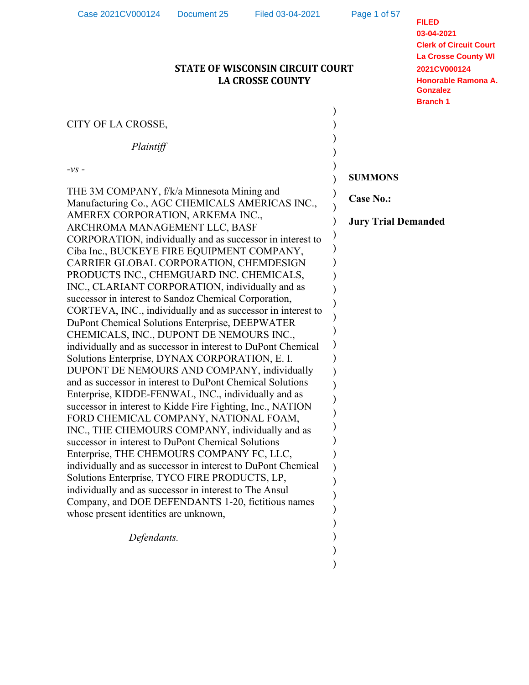| CITY OF LA CROSSE,<br>Plaintiff<br>$-\nu s$ -<br><b>SUMMONS</b><br>THE 3M COMPANY, f/k/a Minnesota Mining and<br><b>Case No.:</b><br>Manufacturing Co., AGC CHEMICALS AMERICAS INC.,<br>AMEREX CORPORATION, ARKEMA INC.,<br><b>Jury Trial Demanded</b><br>ARCHROMA MANAGEMENT LLC, BASF<br>CORPORATION, individually and as successor in interest to<br>Ciba Inc., BUCKEYE FIRE EQUIPMENT COMPANY,<br>CARRIER GLOBAL CORPORATION, CHEMDESIGN<br>PRODUCTS INC., CHEMGUARD INC. CHEMICALS,<br>INC., CLARIANT CORPORATION, individually and as<br>successor in interest to Sandoz Chemical Corporation,<br>CORTEVA, INC., individually and as successor in interest to<br>DuPont Chemical Solutions Enterprise, DEEPWATER<br>CHEMICALS, INC., DUPONT DE NEMOURS INC.,<br>individually and as successor in interest to DuPont Chemical<br>Solutions Enterprise, DYNAX CORPORATION, E. I.<br>DUPONT DE NEMOURS AND COMPANY, individually<br>and as successor in interest to DuPont Chemical Solutions<br>Enterprise, KIDDE-FENWAL, INC., individually and as<br>successor in interest to Kidde Fire Fighting, Inc., NATION<br>FORD CHEMICAL COMPANY, NATIONAL FOAM,<br>INC., THE CHEMOURS COMPANY, individually and as<br>successor in interest to DuPont Chemical Solutions<br>Enterprise, THE CHEMOURS COMPANY FC, LLC,<br>individually and as successor in interest to DuPont Chemical<br>Solutions Enterprise, TYCO FIRE PRODUCTS, LP,<br>individually and as successor in interest to The Ansul<br>Company, and DOE DEFENDANTS 1-20, fictitious names<br>whose present identities are unknown,<br>Defendants. | Case 2021CV000124 | <b>FILED</b><br>03-04-2021<br><b>Clerk of Circuit Court</b><br><b>La Crosse County WI</b><br>2021CV000124<br>Honorable Ramona A.<br><b>Gonzalez</b><br><b>Branch 1</b> |  |  |
|---------------------------------------------------------------------------------------------------------------------------------------------------------------------------------------------------------------------------------------------------------------------------------------------------------------------------------------------------------------------------------------------------------------------------------------------------------------------------------------------------------------------------------------------------------------------------------------------------------------------------------------------------------------------------------------------------------------------------------------------------------------------------------------------------------------------------------------------------------------------------------------------------------------------------------------------------------------------------------------------------------------------------------------------------------------------------------------------------------------------------------------------------------------------------------------------------------------------------------------------------------------------------------------------------------------------------------------------------------------------------------------------------------------------------------------------------------------------------------------------------------------------------------------------------------------------------------------------------------------|-------------------|------------------------------------------------------------------------------------------------------------------------------------------------------------------------|--|--|
|                                                                                                                                                                                                                                                                                                                                                                                                                                                                                                                                                                                                                                                                                                                                                                                                                                                                                                                                                                                                                                                                                                                                                                                                                                                                                                                                                                                                                                                                                                                                                                                                               |                   |                                                                                                                                                                        |  |  |
|                                                                                                                                                                                                                                                                                                                                                                                                                                                                                                                                                                                                                                                                                                                                                                                                                                                                                                                                                                                                                                                                                                                                                                                                                                                                                                                                                                                                                                                                                                                                                                                                               |                   |                                                                                                                                                                        |  |  |
|                                                                                                                                                                                                                                                                                                                                                                                                                                                                                                                                                                                                                                                                                                                                                                                                                                                                                                                                                                                                                                                                                                                                                                                                                                                                                                                                                                                                                                                                                                                                                                                                               |                   |                                                                                                                                                                        |  |  |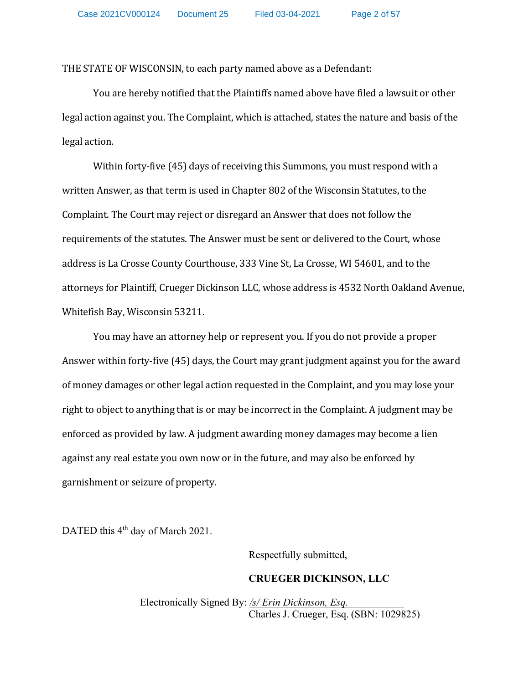THE STATE OF WISCONSIN, to each party named above as a Defendant:

You are hereby notified that the Plaintiffs named above have filed a lawsuit or other legal action against you. The Complaint, which is attached, states the nature and basis of the legal action.

Within forty-five (45) days of receiving this Summons, you must respond with a written Answer, as that term is used in Chapter 802 of the Wisconsin Statutes, to the Complaint. The Court may reject or disregard an Answer that does not follow the requirements of the statutes. The Answer must be sent or delivered to the Court, whose address is La Crosse County Courthouse, 333 Vine St, La Crosse, WI 54601, and to the attorneys for Plaintiff, Crueger Dickinson LLC, whose address is 4532 North Oakland Avenue, Whitefish Bay, Wisconsin 53211.

You may have an attorney help or represent you. If you do not provide a proper Answer within forty-five (45) days, the Court may grant judgment against you for the award of money damages or other legal action requested in the Complaint, and you may lose your right to object to anything that is or may be incorrect in the Complaint. A judgment may be enforced as provided by law. A judgment awarding money damages may become a lien against any real estate you own now or in the future, and may also be enforced by garnishment or seizure of property.

DATED this 4<sup>th</sup> day of March 2021.

Respectfully submitted,

#### **CRUEGER DICKINSON, LLC**

Electronically Signed By: */s/ Erin Dickinson, Esq.* Charles J. Crueger, Esq. (SBN: 1029825)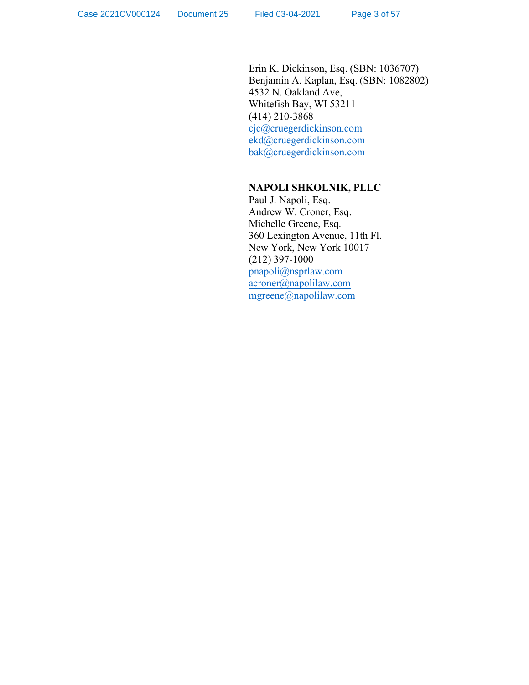Erin K. Dickinson, Esq. (SBN: 1036707) Benjamin A. Kaplan, Esq. (SBN: 1082802) 4532 N. Oakland Ave, Whitefish Bay, WI 53211 (414) 210-3868 [cjc@cruegerdickinson.com](mailto:cjc@cruegerdickinson.com) [ekd@cruegerdickinson.com](mailto:ekd@cruegerdickinson.com) [bak@cruegerdickinson.com](mailto:bak@cruegerdickinson.com)

### **NAPOLI SHKOLNIK, PLLC**

Paul J. Napoli, Esq. Andrew W. Croner, Esq. Michelle Greene, Esq. 360 Lexington Avenue, 11th Fl. New York, New York 10017 (212) 397-1000 [pnapoli@nsprlaw.com](mailto:pnapoli@nsprlaw.com) [acroner@napolilaw.com](mailto:acroner@napolilaw.com) [mgreene@napolilaw.com](mailto:mgreene@napolilaw.com)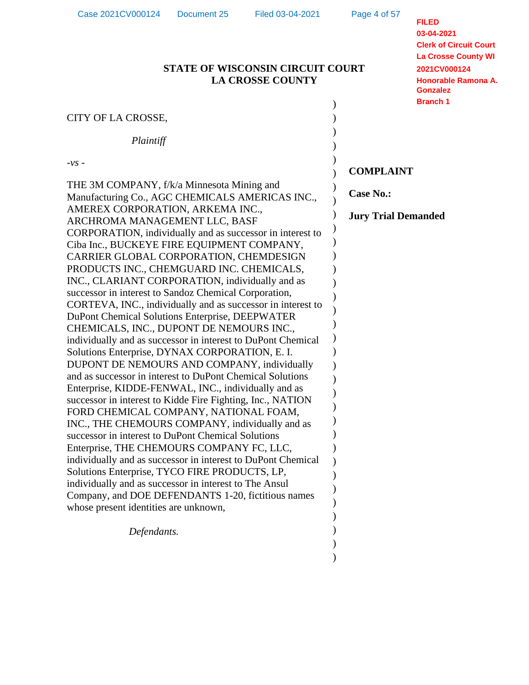| 50 ZUZ I U V UUU I Z <del>ii</del><br><b>DUCATION ZU</b><br>THUR VU-VT-ZVZ L<br><b>STATE OF WISCONSIN CIRCUIT COURT</b><br><b>LA CROSSE COUNTY</b>                                                                                                                                                                                                                                                                                                                                                                           | <b>FILED</b><br>03-04-2021<br><b>Clerk of Circuit Court</b><br><b>La Crosse County WI</b><br>2021CV000124<br>Honorable Ramona A.<br><b>Gonzalez</b><br><b>Branch 1</b> |  |
|------------------------------------------------------------------------------------------------------------------------------------------------------------------------------------------------------------------------------------------------------------------------------------------------------------------------------------------------------------------------------------------------------------------------------------------------------------------------------------------------------------------------------|------------------------------------------------------------------------------------------------------------------------------------------------------------------------|--|
| CITY OF LA CROSSE,                                                                                                                                                                                                                                                                                                                                                                                                                                                                                                           |                                                                                                                                                                        |  |
| Plaintiff                                                                                                                                                                                                                                                                                                                                                                                                                                                                                                                    |                                                                                                                                                                        |  |
| $-VS$ -                                                                                                                                                                                                                                                                                                                                                                                                                                                                                                                      | <b>COMPLAINT</b>                                                                                                                                                       |  |
| THE 3M COMPANY, f/k/a Minnesota Mining and<br>Manufacturing Co., AGC CHEMICALS AMERICAS INC.,                                                                                                                                                                                                                                                                                                                                                                                                                                | <b>Case No.:</b>                                                                                                                                                       |  |
| AMEREX CORPORATION, ARKEMA INC.,<br>ARCHROMA MANAGEMENT LLC, BASF<br>CORPORATION, individually and as successor in interest to                                                                                                                                                                                                                                                                                                                                                                                               | <b>Jury Trial Demanded</b>                                                                                                                                             |  |
| Ciba Inc., BUCKEYE FIRE EQUIPMENT COMPANY,<br>CARRIER GLOBAL CORPORATION, CHEMDESIGN<br>PRODUCTS INC., CHEMGUARD INC. CHEMICALS,<br>INC., CLARIANT CORPORATION, individually and as<br>successor in interest to Sandoz Chemical Corporation,<br>CORTEVA, INC., individually and as successor in interest to<br>DuPont Chemical Solutions Enterprise, DEEPWATER<br>CHEMICALS, INC., DUPONT DE NEMOURS INC.,<br>individually and as successor in interest to DuPont Chemical<br>Solutions Enterprise, DYNAX CORPORATION, E. I. |                                                                                                                                                                        |  |
| DUPONT DE NEMOURS AND COMPANY, individually<br>and as successor in interest to DuPont Chemical Solutions<br>Enterprise, KIDDE-FENWAL, INC., individually and as<br>successor in interest to Kidde Fire Fighting, Inc., NATION                                                                                                                                                                                                                                                                                                |                                                                                                                                                                        |  |
| FORD CHEMICAL COMPANY, NATIONAL FOAM,<br>INC., THE CHEMOURS COMPANY, individually and as<br>successor in interest to DuPont Chemical Solutions                                                                                                                                                                                                                                                                                                                                                                               |                                                                                                                                                                        |  |
| Enterprise, THE CHEMOURS COMPANY FC, LLC,<br>individually and as successor in interest to DuPont Chemical                                                                                                                                                                                                                                                                                                                                                                                                                    |                                                                                                                                                                        |  |
| Solutions Enterprise, TYCO FIRE PRODUCTS, LP,<br>individually and as successor in interest to The Ansul<br>Company, and DOE DEFENDANTS 1-20, fictitious names<br>whose present identities are unknown,                                                                                                                                                                                                                                                                                                                       |                                                                                                                                                                        |  |
| Defendants.                                                                                                                                                                                                                                                                                                                                                                                                                                                                                                                  |                                                                                                                                                                        |  |
|                                                                                                                                                                                                                                                                                                                                                                                                                                                                                                                              |                                                                                                                                                                        |  |

Case 2021CV000124 Document 25 Filed 03-04-2021

Page 4 of 57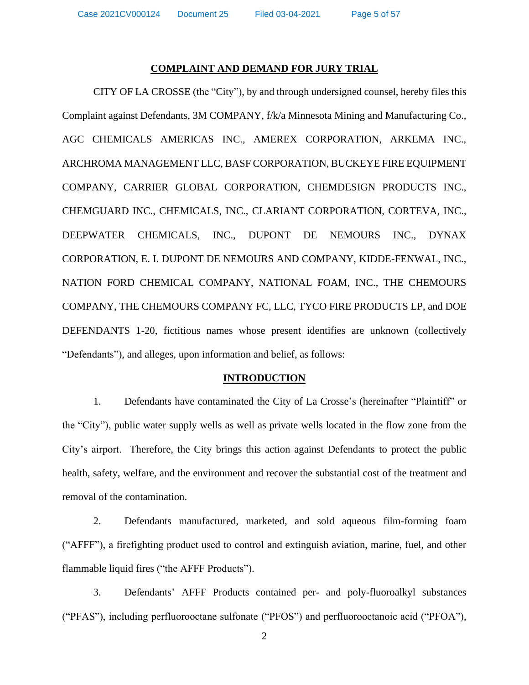Case 2021CV000124 Document 25 Filed 03-04-2021 Page 5 of 57

#### **COMPLAINT AND DEMAND FOR JURY TRIAL**

CITY OF LA CROSSE (the "City"), by and through undersigned counsel, hereby files this Complaint against Defendants, 3M COMPANY, f/k/a Minnesota Mining and Manufacturing Co., AGC CHEMICALS AMERICAS INC., AMEREX CORPORATION, ARKEMA INC., ARCHROMA MANAGEMENT LLC, BASF CORPORATION, BUCKEYE FIRE EQUIPMENT COMPANY, CARRIER GLOBAL CORPORATION, CHEMDESIGN PRODUCTS INC., CHEMGUARD INC., CHEMICALS, INC., CLARIANT CORPORATION, CORTEVA, INC., DEEPWATER CHEMICALS, INC., DUPONT DE NEMOURS INC., DYNAX CORPORATION, E. I. DUPONT DE NEMOURS AND COMPANY, KIDDE-FENWAL, INC., NATION FORD CHEMICAL COMPANY, NATIONAL FOAM, INC., THE CHEMOURS COMPANY, THE CHEMOURS COMPANY FC, LLC, TYCO FIRE PRODUCTS LP, and DOE DEFENDANTS 1-20, fictitious names whose present identifies are unknown (collectively "Defendants"), and alleges, upon information and belief, as follows:

#### **INTRODUCTION**

1. Defendants have contaminated the City of La Crosse's (hereinafter "Plaintiff" or the "City"), public water supply wells as well as private wells located in the flow zone from the City's airport. Therefore, the City brings this action against Defendants to protect the public health, safety, welfare, and the environment and recover the substantial cost of the treatment and removal of the contamination.

2. Defendants manufactured, marketed, and sold aqueous film-forming foam ("AFFF"), a firefighting product used to control and extinguish aviation, marine, fuel, and other flammable liquid fires ("the AFFF Products").

3. Defendants' AFFF Products contained per- and poly-fluoroalkyl substances ("PFAS"), including perfluorooctane sulfonate ("PFOS") and perfluorooctanoic acid ("PFOA"),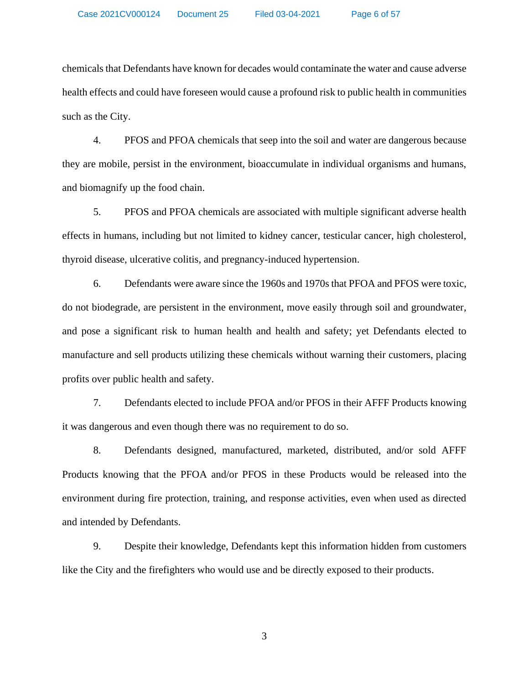chemicals that Defendants have known for decades would contaminate the water and cause adverse health effects and could have foreseen would cause a profound risk to public health in communities such as the City.

4. PFOS and PFOA chemicals that seep into the soil and water are dangerous because they are mobile, persist in the environment, bioaccumulate in individual organisms and humans, and biomagnify up the food chain.

5. PFOS and PFOA chemicals are associated with multiple significant adverse health effects in humans, including but not limited to kidney cancer, testicular cancer, high cholesterol, thyroid disease, ulcerative colitis, and pregnancy-induced hypertension.

6. Defendants were aware since the 1960s and 1970s that PFOA and PFOS were toxic, do not biodegrade, are persistent in the environment, move easily through soil and groundwater, and pose a significant risk to human health and health and safety; yet Defendants elected to manufacture and sell products utilizing these chemicals without warning their customers, placing profits over public health and safety.

7. Defendants elected to include PFOA and/or PFOS in their AFFF Products knowing it was dangerous and even though there was no requirement to do so.

8. Defendants designed, manufactured, marketed, distributed, and/or sold AFFF Products knowing that the PFOA and/or PFOS in these Products would be released into the environment during fire protection, training, and response activities, even when used as directed and intended by Defendants.

9. Despite their knowledge, Defendants kept this information hidden from customers like the City and the firefighters who would use and be directly exposed to their products.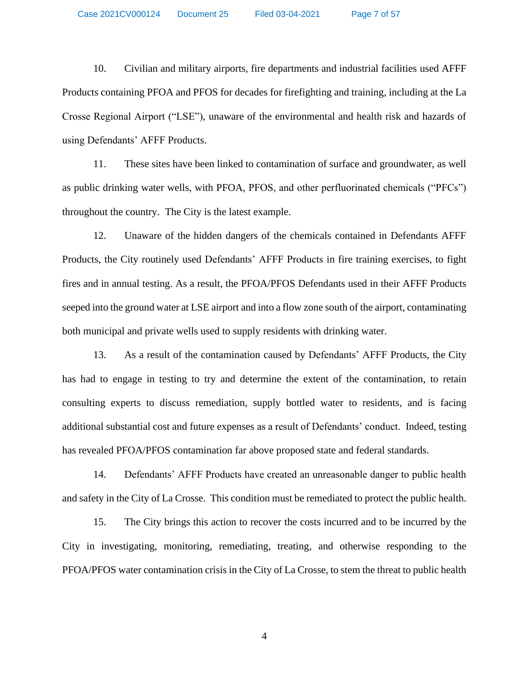Case 2021CV000124 Document 25 Filed 03-04-2021 Page 7 of 57

10. Civilian and military airports, fire departments and industrial facilities used AFFF Products containing PFOA and PFOS for decades for firefighting and training, including at the La Crosse Regional Airport ("LSE"), unaware of the environmental and health risk and hazards of using Defendants' AFFF Products.

11. These sites have been linked to contamination of surface and groundwater, as well as public drinking water wells, with PFOA, PFOS, and other perfluorinated chemicals ("PFCs") throughout the country. The City is the latest example.

12. Unaware of the hidden dangers of the chemicals contained in Defendants AFFF Products, the City routinely used Defendants' AFFF Products in fire training exercises, to fight fires and in annual testing. As a result, the PFOA/PFOS Defendants used in their AFFF Products seeped into the ground water at LSE airport and into a flow zone south of the airport, contaminating both municipal and private wells used to supply residents with drinking water.

13. As a result of the contamination caused by Defendants' AFFF Products, the City has had to engage in testing to try and determine the extent of the contamination, to retain consulting experts to discuss remediation, supply bottled water to residents, and is facing additional substantial cost and future expenses as a result of Defendants' conduct. Indeed, testing has revealed PFOA/PFOS contamination far above proposed state and federal standards.

14. Defendants' AFFF Products have created an unreasonable danger to public health and safety in the City of La Crosse. This condition must be remediated to protect the public health.

15. The City brings this action to recover the costs incurred and to be incurred by the City in investigating, monitoring, remediating, treating, and otherwise responding to the PFOA/PFOS water contamination crisis in the City of La Crosse, to stem the threat to public health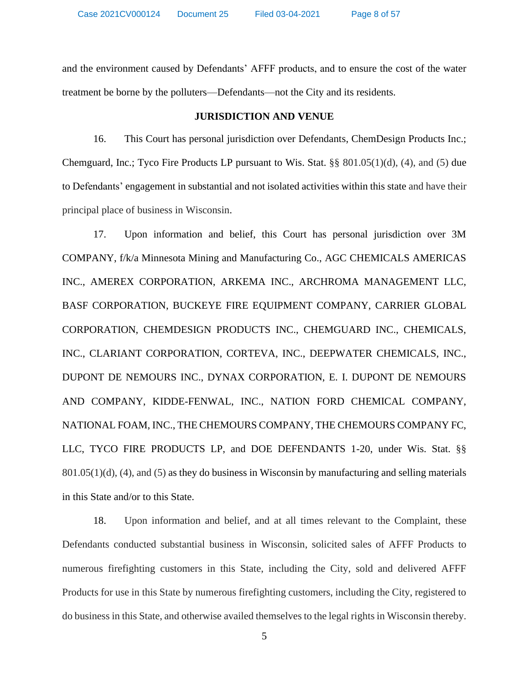and the environment caused by Defendants' AFFF products, and to ensure the cost of the water treatment be borne by the polluters—Defendants—not the City and its residents.

#### **JURISDICTION AND VENUE**

16. This Court has personal jurisdiction over Defendants, ChemDesign Products Inc.; Chemguard, Inc.; Tyco Fire Products LP pursuant to Wis. Stat. §§ 801.05(1)(d), (4), and (5) due to Defendants' engagement in substantial and not isolated activities within this state and have their principal place of business in Wisconsin.

17. Upon information and belief, this Court has personal jurisdiction over 3M COMPANY, f/k/a Minnesota Mining and Manufacturing Co., AGC CHEMICALS AMERICAS INC., AMEREX CORPORATION, ARKEMA INC., ARCHROMA MANAGEMENT LLC, BASF CORPORATION, BUCKEYE FIRE EQUIPMENT COMPANY, CARRIER GLOBAL CORPORATION, CHEMDESIGN PRODUCTS INC., CHEMGUARD INC., CHEMICALS, INC., CLARIANT CORPORATION, CORTEVA, INC., DEEPWATER CHEMICALS, INC., DUPONT DE NEMOURS INC., DYNAX CORPORATION, E. I. DUPONT DE NEMOURS AND COMPANY, KIDDE-FENWAL, INC., NATION FORD CHEMICAL COMPANY, NATIONAL FOAM, INC., THE CHEMOURS COMPANY, THE CHEMOURS COMPANY FC, LLC, TYCO FIRE PRODUCTS LP, and DOE DEFENDANTS 1-20, under Wis. Stat. §§  $801.05(1)(d)$ , (4), and (5) as they do business in Wisconsin by manufacturing and selling materials in this State and/or to this State.

18. Upon information and belief, and at all times relevant to the Complaint, these Defendants conducted substantial business in Wisconsin, solicited sales of AFFF Products to numerous firefighting customers in this State, including the City, sold and delivered AFFF Products for use in this State by numerous firefighting customers, including the City, registered to do business in this State, and otherwise availed themselves to the legal rights in Wisconsin thereby.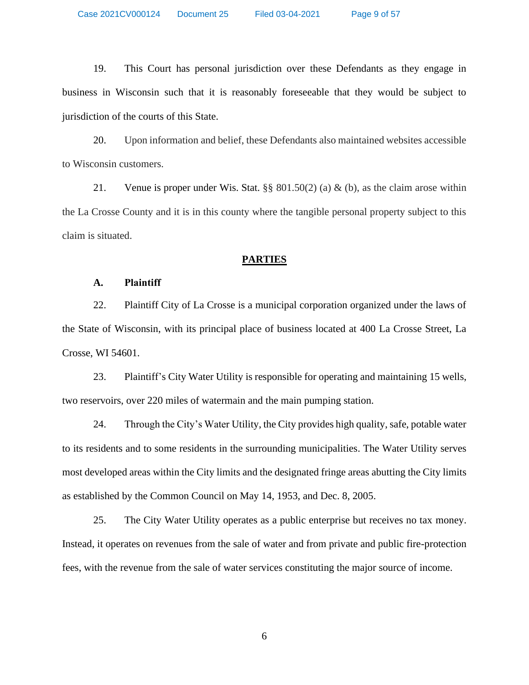19. This Court has personal jurisdiction over these Defendants as they engage in business in Wisconsin such that it is reasonably foreseeable that they would be subject to jurisdiction of the courts of this State.

20. Upon information and belief, these Defendants also maintained websites accessible to Wisconsin customers.

21. Venue is proper under Wis. Stat. §§ 801.50(2) (a) & (b), as the claim arose within the La Crosse County and it is in this county where the tangible personal property subject to this claim is situated.

#### **PARTIES**

# **A. Plaintiff**

22. Plaintiff City of La Crosse is a municipal corporation organized under the laws of the State of Wisconsin, with its principal place of business located at 400 La Crosse Street, La Crosse, WI 54601.

23. Plaintiff's City Water Utility is responsible for operating and maintaining 15 wells, two reservoirs, over 220 miles of watermain and the main pumping station.

24. Through the City's Water Utility, the City provides high quality, safe, potable water to its residents and to some residents in the surrounding municipalities. The Water Utility serves most developed areas within the City limits and the designated fringe areas abutting the City limits as established by the Common Council on May 14, 1953, and Dec. 8, 2005.

25. The City Water Utility operates as a public enterprise but receives no tax money. Instead, it operates on revenues from the sale of water and from private and public fire-protection fees, with the revenue from the sale of water services constituting the major source of income.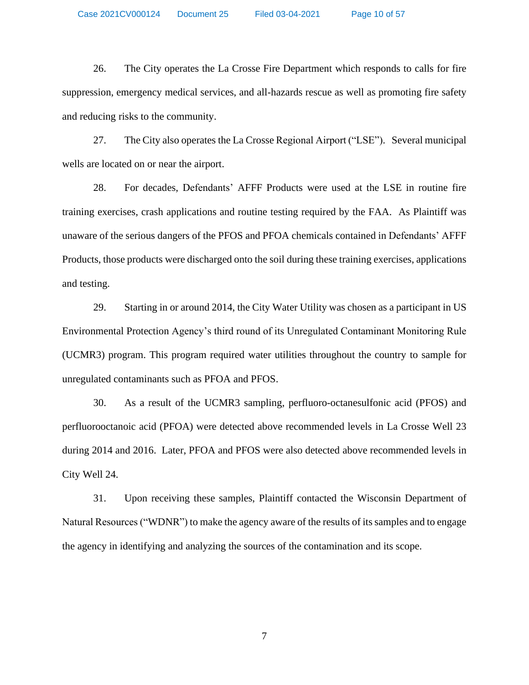Case 2021CV000124 Document 25 Filed 03-04-2021 Page 10 of 57

26. The City operates the La Crosse Fire Department which responds to calls for fire suppression, emergency medical services, and all-hazards rescue as well as promoting fire safety and reducing risks to the community.

27. The City also operates the La Crosse Regional Airport ("LSE"). Several municipal wells are located on or near the airport.

28. For decades, Defendants' AFFF Products were used at the LSE in routine fire training exercises, crash applications and routine testing required by the FAA. As Plaintiff was unaware of the serious dangers of the PFOS and PFOA chemicals contained in Defendants' AFFF Products, those products were discharged onto the soil during these training exercises, applications and testing.

29. Starting in or around 2014, the City Water Utility was chosen as a participant in US Environmental Protection Agency's third round of its Unregulated Contaminant Monitoring Rule (UCMR3) program. This program required water utilities throughout the country to sample for unregulated contaminants such as PFOA and PFOS.

30. As a result of the UCMR3 sampling, perfluoro-octanesulfonic acid (PFOS) and perfluorooctanoic acid (PFOA) were detected above recommended levels in La Crosse Well 23 during 2014 and 2016. Later, PFOA and PFOS were also detected above recommended levels in City Well 24.

31. Upon receiving these samples, Plaintiff contacted the Wisconsin Department of Natural Resources ("WDNR") to make the agency aware of the results of its samples and to engage the agency in identifying and analyzing the sources of the contamination and its scope.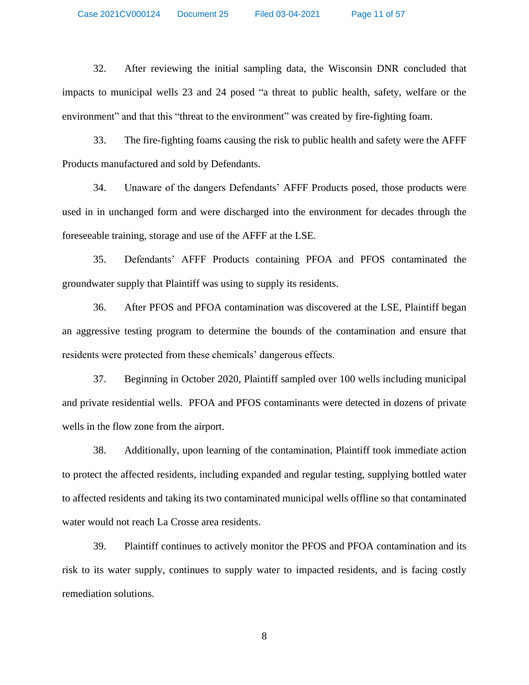32. After reviewing the initial sampling data, the Wisconsin DNR concluded that impacts to municipal wells 23 and 24 posed "a threat to public health, safety, welfare or the environment" and that this "threat to the environment" was created by fire-fighting foam.

33. The fire-fighting foams causing the risk to public health and safety were the AFFF Products manufactured and sold by Defendants.

34. Unaware of the dangers Defendants' AFFF Products posed, those products were used in in unchanged form and were discharged into the environment for decades through the foreseeable training, storage and use of the AFFF at the LSE.

35. Defendants' AFFF Products containing PFOA and PFOS contaminated the groundwater supply that Plaintiff was using to supply its residents.

36. After PFOS and PFOA contamination was discovered at the LSE, Plaintiff began an aggressive testing program to determine the bounds of the contamination and ensure that residents were protected from these chemicals' dangerous effects.

37. Beginning in October 2020, Plaintiff sampled over 100 wells including municipal and private residential wells. PFOA and PFOS contaminants were detected in dozens of private wells in the flow zone from the airport.

38. Additionally, upon learning of the contamination, Plaintiff took immediate action to protect the affected residents, including expanded and regular testing, supplying bottled water to affected residents and taking its two contaminated municipal wells offline so that contaminated water would not reach La Crosse area residents.

39. Plaintiff continues to actively monitor the PFOS and PFOA contamination and its risk to its water supply, continues to supply water to impacted residents, and is facing costly remediation solutions.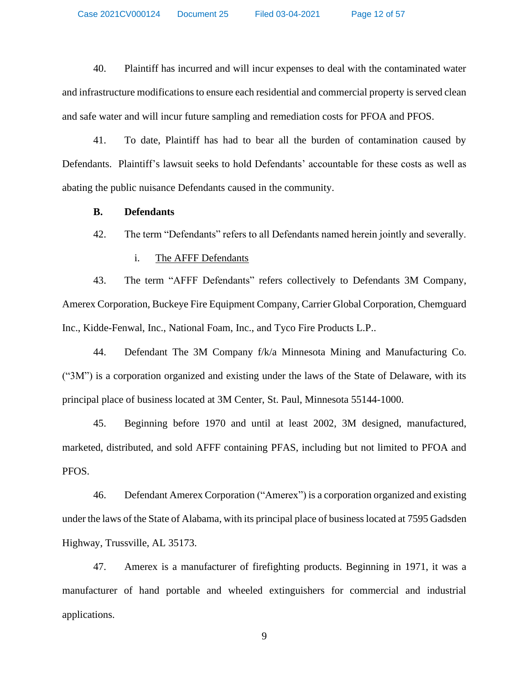Case 2021CV000124 Document 25 Filed 03-04-2021 Page 12 of 57

40. Plaintiff has incurred and will incur expenses to deal with the contaminated water and infrastructure modifications to ensure each residential and commercial property is served clean and safe water and will incur future sampling and remediation costs for PFOA and PFOS.

41. To date, Plaintiff has had to bear all the burden of contamination caused by Defendants. Plaintiff's lawsuit seeks to hold Defendants' accountable for these costs as well as abating the public nuisance Defendants caused in the community.

### **B. Defendants**

42. The term "Defendants" refers to all Defendants named herein jointly and severally.

### i. The AFFF Defendants

43. The term "AFFF Defendants" refers collectively to Defendants 3M Company, Amerex Corporation, Buckeye Fire Equipment Company, Carrier Global Corporation, Chemguard Inc., Kidde-Fenwal, Inc., National Foam, Inc., and Tyco Fire Products L.P..

44. Defendant The 3M Company f/k/a Minnesota Mining and Manufacturing Co. ("3M") is a corporation organized and existing under the laws of the State of Delaware, with its principal place of business located at 3M Center, St. Paul, Minnesota 55144-1000.

45. Beginning before 1970 and until at least 2002, 3M designed, manufactured, marketed, distributed, and sold AFFF containing PFAS, including but not limited to PFOA and PFOS.

46. Defendant Amerex Corporation ("Amerex") is a corporation organized and existing under the laws of the State of Alabama, with its principal place of business located at 7595 Gadsden Highway, Trussville, AL 35173.

47. Amerex is a manufacturer of firefighting products. Beginning in 1971, it was a manufacturer of hand portable and wheeled extinguishers for commercial and industrial applications.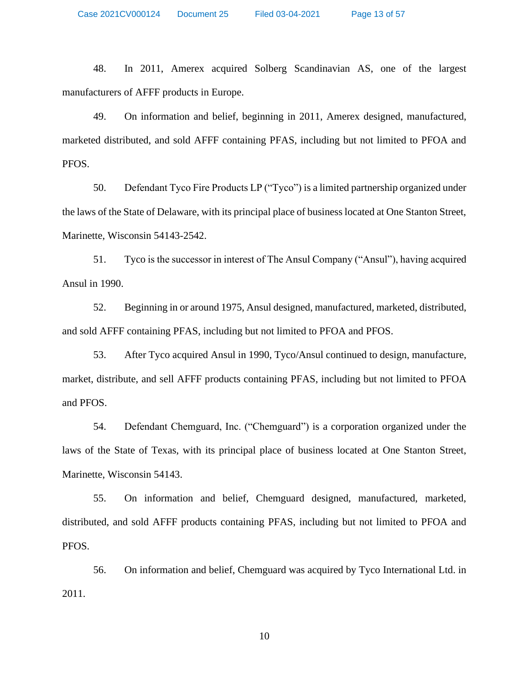48. In 2011, Amerex acquired Solberg Scandinavian AS, one of the largest manufacturers of AFFF products in Europe.

49. On information and belief, beginning in 2011, Amerex designed, manufactured, marketed distributed, and sold AFFF containing PFAS, including but not limited to PFOA and PFOS.

50. Defendant Tyco Fire Products LP ("Tyco") is a limited partnership organized under the laws of the State of Delaware, with its principal place of business located at One Stanton Street, Marinette, Wisconsin 54143-2542.

51. Tyco is the successor in interest of The Ansul Company ("Ansul"), having acquired Ansul in 1990.

52. Beginning in or around 1975, Ansul designed, manufactured, marketed, distributed, and sold AFFF containing PFAS, including but not limited to PFOA and PFOS.

53. After Tyco acquired Ansul in 1990, Tyco/Ansul continued to design, manufacture, market, distribute, and sell AFFF products containing PFAS, including but not limited to PFOA and PFOS.

54. Defendant Chemguard, Inc. ("Chemguard") is a corporation organized under the laws of the State of Texas, with its principal place of business located at One Stanton Street, Marinette, Wisconsin 54143.

55. On information and belief, Chemguard designed, manufactured, marketed, distributed, and sold AFFF products containing PFAS, including but not limited to PFOA and PFOS.

56. On information and belief, Chemguard was acquired by Tyco International Ltd. in 2011.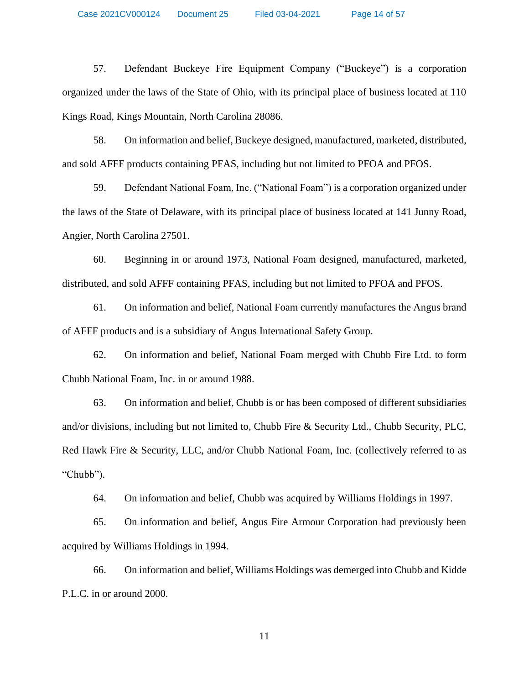57. Defendant Buckeye Fire Equipment Company ("Buckeye") is a corporation organized under the laws of the State of Ohio, with its principal place of business located at 110 Kings Road, Kings Mountain, North Carolina 28086.

58. On information and belief, Buckeye designed, manufactured, marketed, distributed, and sold AFFF products containing PFAS, including but not limited to PFOA and PFOS.

59. Defendant National Foam, Inc. ("National Foam") is a corporation organized under the laws of the State of Delaware, with its principal place of business located at 141 Junny Road, Angier, North Carolina 27501.

60. Beginning in or around 1973, National Foam designed, manufactured, marketed, distributed, and sold AFFF containing PFAS, including but not limited to PFOA and PFOS.

61. On information and belief, National Foam currently manufactures the Angus brand of AFFF products and is a subsidiary of Angus International Safety Group.

62. On information and belief, National Foam merged with Chubb Fire Ltd. to form Chubb National Foam, Inc. in or around 1988.

63. On information and belief, Chubb is or has been composed of different subsidiaries and/or divisions, including but not limited to, Chubb Fire & Security Ltd., Chubb Security, PLC, Red Hawk Fire & Security, LLC, and/or Chubb National Foam, Inc. (collectively referred to as "Chubb").

64. On information and belief, Chubb was acquired by Williams Holdings in 1997.

65. On information and belief, Angus Fire Armour Corporation had previously been acquired by Williams Holdings in 1994.

66. On information and belief, Williams Holdings was demerged into Chubb and Kidde P.L.C. in or around 2000.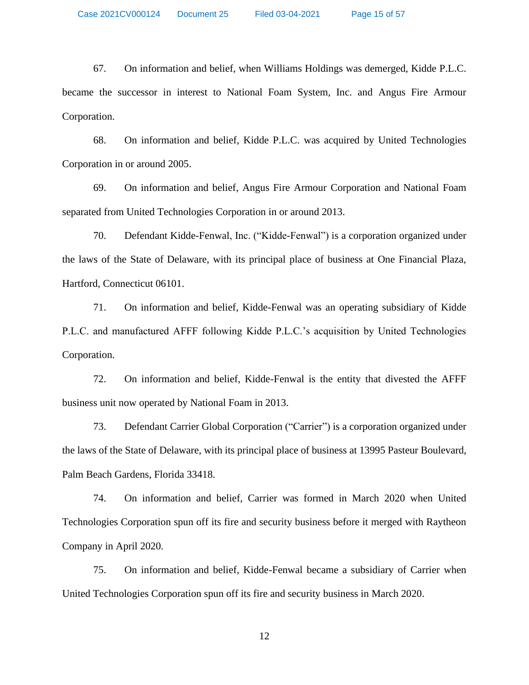67. On information and belief, when Williams Holdings was demerged, Kidde P.L.C. became the successor in interest to National Foam System, Inc. and Angus Fire Armour Corporation.

68. On information and belief, Kidde P.L.C. was acquired by United Technologies Corporation in or around 2005.

69. On information and belief, Angus Fire Armour Corporation and National Foam separated from United Technologies Corporation in or around 2013.

70. Defendant Kidde-Fenwal, Inc. ("Kidde-Fenwal") is a corporation organized under the laws of the State of Delaware, with its principal place of business at One Financial Plaza, Hartford, Connecticut 06101.

71. On information and belief, Kidde-Fenwal was an operating subsidiary of Kidde P.L.C. and manufactured AFFF following Kidde P.L.C.'s acquisition by United Technologies Corporation.

72. On information and belief, Kidde-Fenwal is the entity that divested the AFFF business unit now operated by National Foam in 2013.

73. Defendant Carrier Global Corporation ("Carrier") is a corporation organized under the laws of the State of Delaware, with its principal place of business at 13995 Pasteur Boulevard, Palm Beach Gardens, Florida 33418.

74. On information and belief, Carrier was formed in March 2020 when United Technologies Corporation spun off its fire and security business before it merged with Raytheon Company in April 2020.

75. On information and belief, Kidde-Fenwal became a subsidiary of Carrier when United Technologies Corporation spun off its fire and security business in March 2020.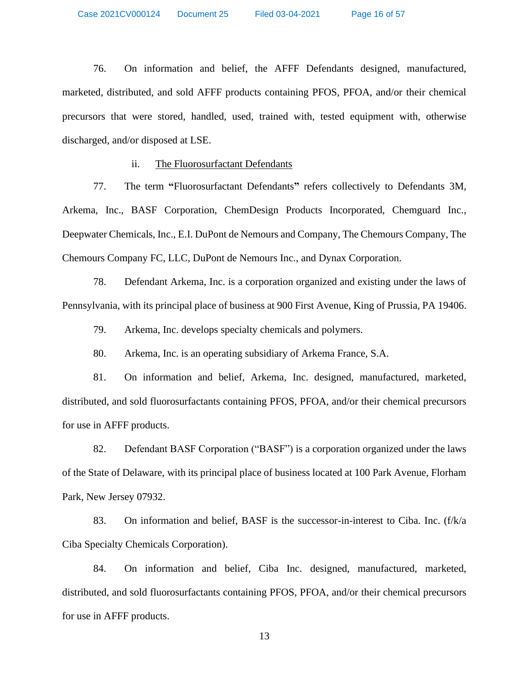76. On information and belief, the AFFF Defendants designed, manufactured, marketed, distributed, and sold AFFF products containing PFOS, PFOA, and/or their chemical precursors that were stored, handled, used, trained with, tested equipment with, otherwise discharged, and/or disposed at LSE.

### ii. The Fluorosurfactant Defendants

77. The term **"**Fluorosurfactant Defendants**"** refers collectively to Defendants 3M, Arkema, Inc., BASF Corporation, ChemDesign Products Incorporated, Chemguard Inc., Deepwater Chemicals, Inc., E.I. DuPont de Nemours and Company, The Chemours Company, The Chemours Company FC, LLC, DuPont de Nemours Inc., and Dynax Corporation.

78. Defendant Arkema, Inc. is a corporation organized and existing under the laws of Pennsylvania, with its principal place of business at 900 First Avenue, King of Prussia, PA 19406.

79. Arkema, Inc. develops specialty chemicals and polymers.

80. Arkema, Inc. is an operating subsidiary of Arkema France, S.A.

81. On information and belief, Arkema, Inc. designed, manufactured, marketed, distributed, and sold fluorosurfactants containing PFOS, PFOA, and/or their chemical precursors for use in AFFF products.

82. Defendant BASF Corporation ("BASF") is a corporation organized under the laws of the State of Delaware, with its principal place of business located at 100 Park Avenue, Florham Park, New Jersey 07932.

83. On information and belief, BASF is the successor-in-interest to Ciba. Inc. (f/k/a Ciba Specialty Chemicals Corporation).

84. On information and belief, Ciba Inc. designed, manufactured, marketed, distributed, and sold fluorosurfactants containing PFOS, PFOA, and/or their chemical precursors for use in AFFF products.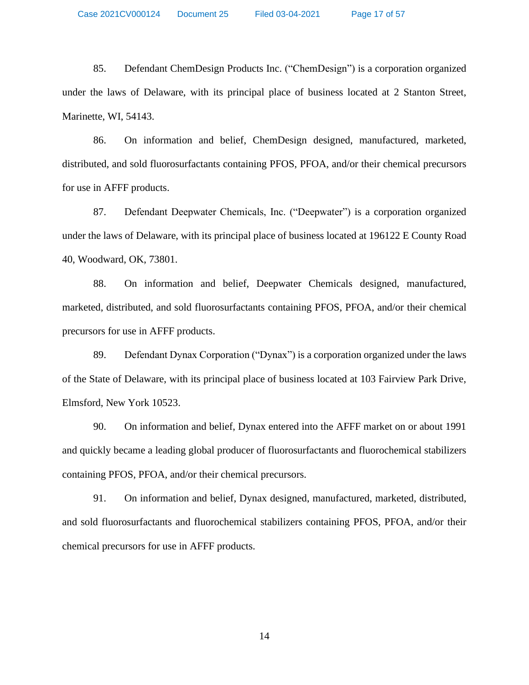85. Defendant ChemDesign Products Inc. ("ChemDesign") is a corporation organized under the laws of Delaware, with its principal place of business located at 2 Stanton Street, Marinette, WI, 54143.

86. On information and belief, ChemDesign designed, manufactured, marketed, distributed, and sold fluorosurfactants containing PFOS, PFOA, and/or their chemical precursors for use in AFFF products.

87. Defendant Deepwater Chemicals, Inc. ("Deepwater") is a corporation organized under the laws of Delaware, with its principal place of business located at 196122 E County Road 40, Woodward, OK, 73801.

88. On information and belief, Deepwater Chemicals designed, manufactured, marketed, distributed, and sold fluorosurfactants containing PFOS, PFOA, and/or their chemical precursors for use in AFFF products.

89. Defendant Dynax Corporation ("Dynax") is a corporation organized under the laws of the State of Delaware, with its principal place of business located at 103 Fairview Park Drive, Elmsford, New York 10523.

90. On information and belief, Dynax entered into the AFFF market on or about 1991 and quickly became a leading global producer of fluorosurfactants and fluorochemical stabilizers containing PFOS, PFOA, and/or their chemical precursors.

91. On information and belief, Dynax designed, manufactured, marketed, distributed, and sold fluorosurfactants and fluorochemical stabilizers containing PFOS, PFOA, and/or their chemical precursors for use in AFFF products.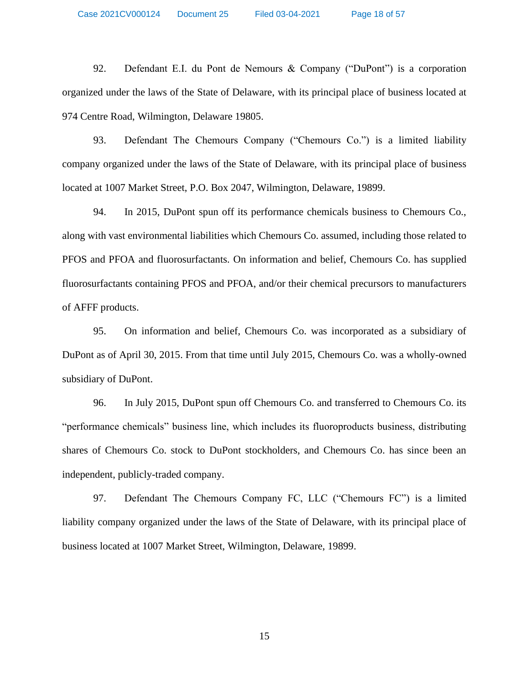92. Defendant E.I. du Pont de Nemours & Company ("DuPont") is a corporation organized under the laws of the State of Delaware, with its principal place of business located at 974 Centre Road, Wilmington, Delaware 19805.

93. Defendant The Chemours Company ("Chemours Co.") is a limited liability company organized under the laws of the State of Delaware, with its principal place of business located at 1007 Market Street, P.O. Box 2047, Wilmington, Delaware, 19899.

94. In 2015, DuPont spun off its performance chemicals business to Chemours Co., along with vast environmental liabilities which Chemours Co. assumed, including those related to PFOS and PFOA and fluorosurfactants. On information and belief, Chemours Co. has supplied fluorosurfactants containing PFOS and PFOA, and/or their chemical precursors to manufacturers of AFFF products.

95. On information and belief, Chemours Co. was incorporated as a subsidiary of DuPont as of April 30, 2015. From that time until July 2015, Chemours Co. was a wholly-owned subsidiary of DuPont.

96. In July 2015, DuPont spun off Chemours Co. and transferred to Chemours Co. its "performance chemicals" business line, which includes its fluoroproducts business, distributing shares of Chemours Co. stock to DuPont stockholders, and Chemours Co. has since been an independent, publicly-traded company.

97. Defendant The Chemours Company FC, LLC ("Chemours FC") is a limited liability company organized under the laws of the State of Delaware, with its principal place of business located at 1007 Market Street, Wilmington, Delaware, 19899.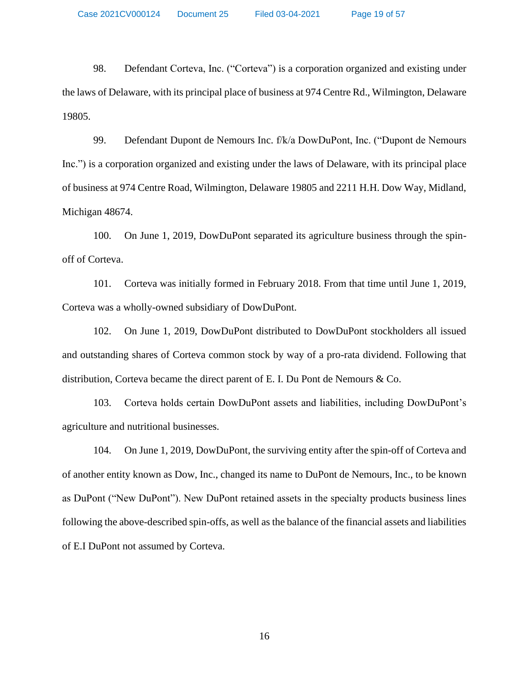98. Defendant Corteva, Inc. ("Corteva") is a corporation organized and existing under the laws of Delaware, with its principal place of business at 974 Centre Rd., Wilmington, Delaware 19805.

99. Defendant Dupont de Nemours Inc. f/k/a DowDuPont, Inc. ("Dupont de Nemours Inc.") is a corporation organized and existing under the laws of Delaware, with its principal place of business at 974 Centre Road, Wilmington, Delaware 19805 and 2211 H.H. Dow Way, Midland, Michigan 48674.

100. On June 1, 2019, DowDuPont separated its agriculture business through the spinoff of Corteva.

101. Corteva was initially formed in February 2018. From that time until June 1, 2019, Corteva was a wholly-owned subsidiary of DowDuPont.

102. On June 1, 2019, DowDuPont distributed to DowDuPont stockholders all issued and outstanding shares of Corteva common stock by way of a pro-rata dividend. Following that distribution, Corteva became the direct parent of E. I. Du Pont de Nemours & Co.

103. Corteva holds certain DowDuPont assets and liabilities, including DowDuPont's agriculture and nutritional businesses.

104. On June 1, 2019, DowDuPont, the surviving entity after the spin-off of Corteva and of another entity known as Dow, Inc., changed its name to DuPont de Nemours, Inc., to be known as DuPont ("New DuPont"). New DuPont retained assets in the specialty products business lines following the above-described spin-offs, as well as the balance of the financial assets and liabilities of E.I DuPont not assumed by Corteva.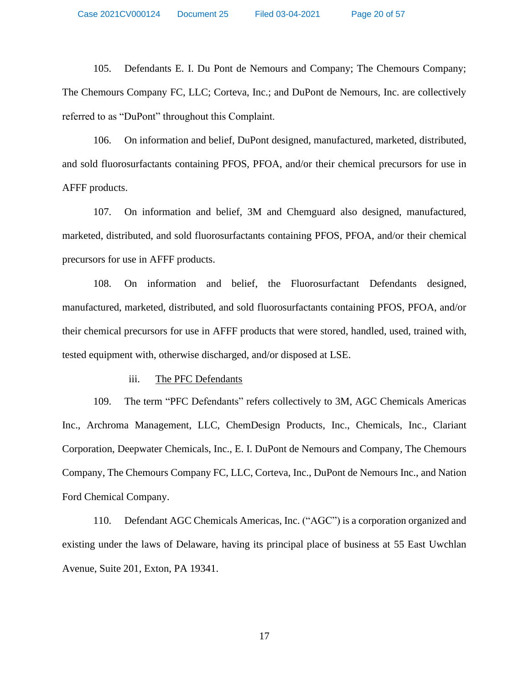105. Defendants E. I. Du Pont de Nemours and Company; The Chemours Company; The Chemours Company FC, LLC; Corteva, Inc.; and DuPont de Nemours, Inc. are collectively referred to as "DuPont" throughout this Complaint.

106. On information and belief, DuPont designed, manufactured, marketed, distributed, and sold fluorosurfactants containing PFOS, PFOA, and/or their chemical precursors for use in AFFF products.

107. On information and belief, 3M and Chemguard also designed, manufactured, marketed, distributed, and sold fluorosurfactants containing PFOS, PFOA, and/or their chemical precursors for use in AFFF products.

108. On information and belief, the Fluorosurfactant Defendants designed, manufactured, marketed, distributed, and sold fluorosurfactants containing PFOS, PFOA, and/or their chemical precursors for use in AFFF products that were stored, handled, used, trained with, tested equipment with, otherwise discharged, and/or disposed at LSE.

#### iii. The PFC Defendants

109. The term "PFC Defendants" refers collectively to 3M, AGC Chemicals Americas Inc., Archroma Management, LLC, ChemDesign Products, Inc., Chemicals, Inc., Clariant Corporation, Deepwater Chemicals, Inc., E. I. DuPont de Nemours and Company, The Chemours Company, The Chemours Company FC, LLC, Corteva, Inc., DuPont de Nemours Inc., and Nation Ford Chemical Company.

110. Defendant AGC Chemicals Americas, Inc. ("AGC") is a corporation organized and existing under the laws of Delaware, having its principal place of business at 55 East Uwchlan Avenue, Suite 201, Exton, PA 19341.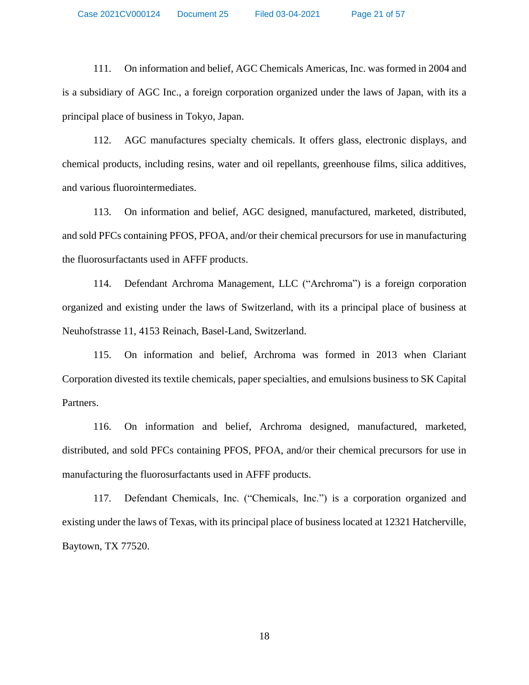Case 2021CV000124 Document 25 Filed 03-04-2021 Page 21 of 57

111. On information and belief, AGC Chemicals Americas, Inc. was formed in 2004 and is a subsidiary of AGC Inc., a foreign corporation organized under the laws of Japan, with its a principal place of business in Tokyo, Japan.

112. AGC manufactures specialty chemicals. It offers glass, electronic displays, and chemical products, including resins, water and oil repellants, greenhouse films, silica additives, and various fluorointermediates.

113. On information and belief, AGC designed, manufactured, marketed, distributed, and sold PFCs containing PFOS, PFOA, and/or their chemical precursors for use in manufacturing the fluorosurfactants used in AFFF products.

114. Defendant Archroma Management, LLC ("Archroma") is a foreign corporation organized and existing under the laws of Switzerland, with its a principal place of business at Neuhofstrasse 11, 4153 Reinach, Basel-Land, Switzerland.

115. On information and belief, Archroma was formed in 2013 when Clariant Corporation divested its textile chemicals, paper specialties, and emulsions business to SK Capital Partners.

116. On information and belief, Archroma designed, manufactured, marketed, distributed, and sold PFCs containing PFOS, PFOA, and/or their chemical precursors for use in manufacturing the fluorosurfactants used in AFFF products.

117. Defendant Chemicals, Inc. ("Chemicals, Inc.") is a corporation organized and existing under the laws of Texas, with its principal place of business located at 12321 Hatcherville, Baytown, TX 77520.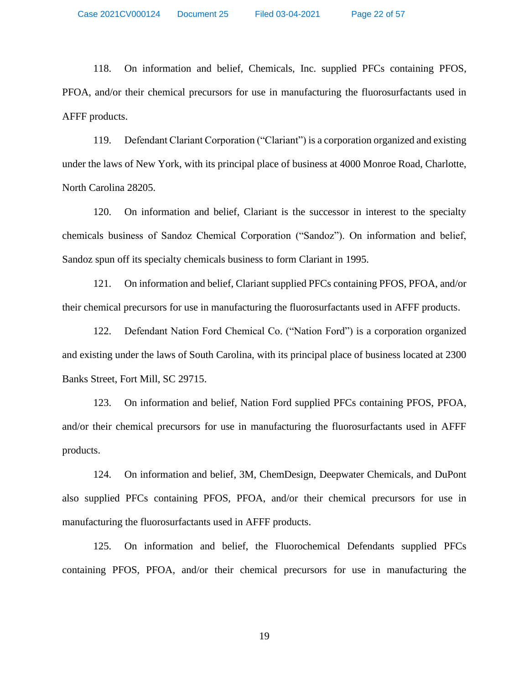118. On information and belief, Chemicals, Inc. supplied PFCs containing PFOS, PFOA, and/or their chemical precursors for use in manufacturing the fluorosurfactants used in AFFF products.

119. Defendant Clariant Corporation ("Clariant") is a corporation organized and existing under the laws of New York, with its principal place of business at 4000 Monroe Road, Charlotte, North Carolina 28205.

120. On information and belief, Clariant is the successor in interest to the specialty chemicals business of Sandoz Chemical Corporation ("Sandoz"). On information and belief, Sandoz spun off its specialty chemicals business to form Clariant in 1995.

121. On information and belief, Clariant supplied PFCs containing PFOS, PFOA, and/or their chemical precursors for use in manufacturing the fluorosurfactants used in AFFF products.

122. Defendant Nation Ford Chemical Co. ("Nation Ford") is a corporation organized and existing under the laws of South Carolina, with its principal place of business located at 2300 Banks Street, Fort Mill, SC 29715.

123. On information and belief, Nation Ford supplied PFCs containing PFOS, PFOA, and/or their chemical precursors for use in manufacturing the fluorosurfactants used in AFFF products.

124. On information and belief, 3M, ChemDesign, Deepwater Chemicals, and DuPont also supplied PFCs containing PFOS, PFOA, and/or their chemical precursors for use in manufacturing the fluorosurfactants used in AFFF products.

125. On information and belief, the Fluorochemical Defendants supplied PFCs containing PFOS, PFOA, and/or their chemical precursors for use in manufacturing the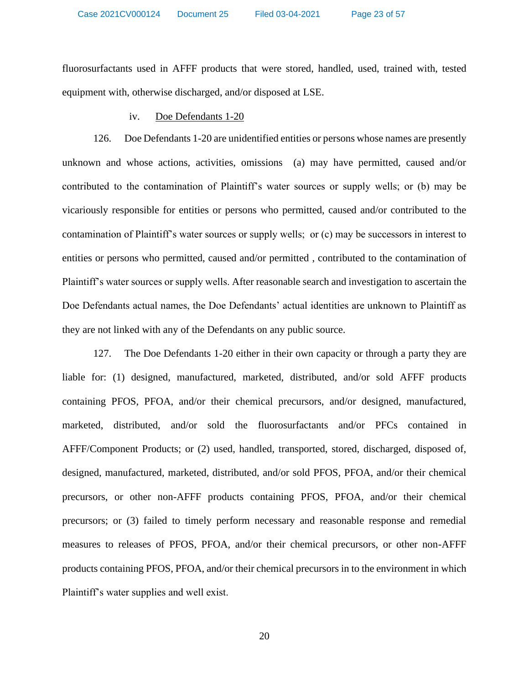fluorosurfactants used in AFFF products that were stored, handled, used, trained with, tested equipment with, otherwise discharged, and/or disposed at LSE.

# iv. Doe Defendants 1-20

126. Doe Defendants 1-20 are unidentified entities or persons whose names are presently unknown and whose actions, activities, omissions (a) may have permitted, caused and/or contributed to the contamination of Plaintiff's water sources or supply wells; or (b) may be vicariously responsible for entities or persons who permitted, caused and/or contributed to the contamination of Plaintiff's water sources or supply wells; or (c) may be successors in interest to entities or persons who permitted, caused and/or permitted , contributed to the contamination of Plaintiff's water sources or supply wells. After reasonable search and investigation to ascertain the Doe Defendants actual names, the Doe Defendants' actual identities are unknown to Plaintiff as they are not linked with any of the Defendants on any public source.

127. The Doe Defendants 1-20 either in their own capacity or through a party they are liable for: (1) designed, manufactured, marketed, distributed, and/or sold AFFF products containing PFOS, PFOA, and/or their chemical precursors, and/or designed, manufactured, marketed, distributed, and/or sold the fluorosurfactants and/or PFCs contained in AFFF/Component Products; or (2) used, handled, transported, stored, discharged, disposed of, designed, manufactured, marketed, distributed, and/or sold PFOS, PFOA, and/or their chemical precursors, or other non-AFFF products containing PFOS, PFOA, and/or their chemical precursors; or (3) failed to timely perform necessary and reasonable response and remedial measures to releases of PFOS, PFOA, and/or their chemical precursors, or other non-AFFF products containing PFOS, PFOA, and/or their chemical precursors in to the environment in which Plaintiff's water supplies and well exist.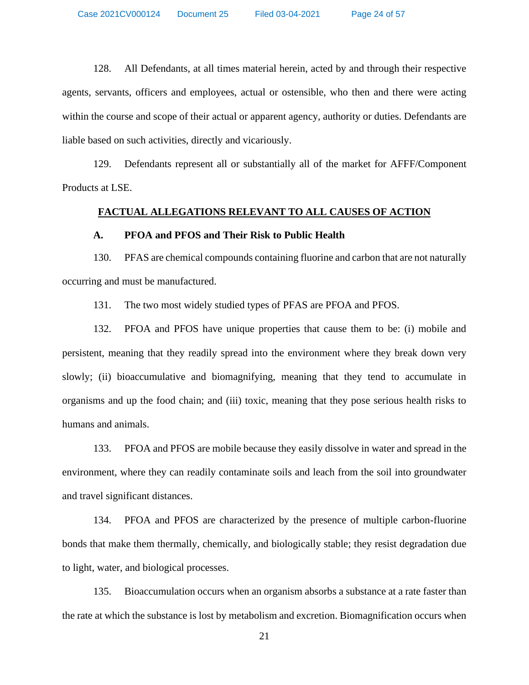128. All Defendants, at all times material herein, acted by and through their respective agents, servants, officers and employees, actual or ostensible, who then and there were acting within the course and scope of their actual or apparent agency, authority or duties. Defendants are liable based on such activities, directly and vicariously.

129. Defendants represent all or substantially all of the market for AFFF/Component Products at LSE.

#### **FACTUAL ALLEGATIONS RELEVANT TO ALL CAUSES OF ACTION**

#### **A. PFOA and PFOS and Their Risk to Public Health**

130. PFAS are chemical compounds containing fluorine and carbon that are not naturally occurring and must be manufactured.

131. The two most widely studied types of PFAS are PFOA and PFOS.

132. PFOA and PFOS have unique properties that cause them to be: (i) mobile and persistent, meaning that they readily spread into the environment where they break down very slowly; (ii) bioaccumulative and biomagnifying, meaning that they tend to accumulate in organisms and up the food chain; and (iii) toxic, meaning that they pose serious health risks to humans and animals.

133. PFOA and PFOS are mobile because they easily dissolve in water and spread in the environment, where they can readily contaminate soils and leach from the soil into groundwater and travel significant distances.

134. PFOA and PFOS are characterized by the presence of multiple carbon-fluorine bonds that make them thermally, chemically, and biologically stable; they resist degradation due to light, water, and biological processes.

135. Bioaccumulation occurs when an organism absorbs a substance at a rate faster than the rate at which the substance is lost by metabolism and excretion. Biomagnification occurs when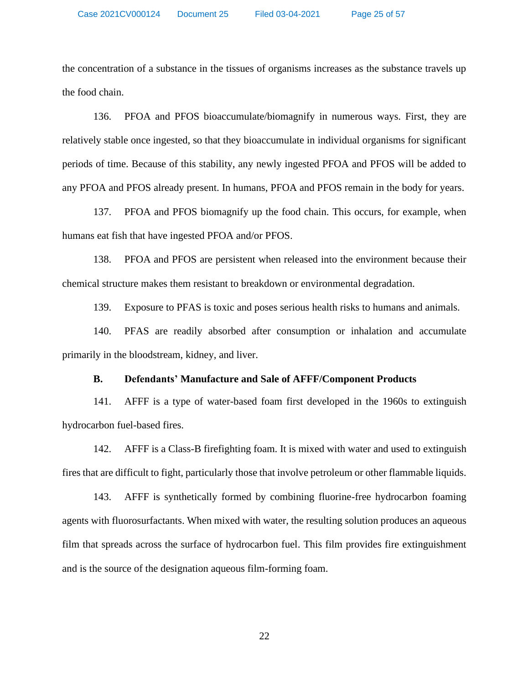the concentration of a substance in the tissues of organisms increases as the substance travels up the food chain.

136. PFOA and PFOS bioaccumulate/biomagnify in numerous ways. First, they are relatively stable once ingested, so that they bioaccumulate in individual organisms for significant periods of time. Because of this stability, any newly ingested PFOA and PFOS will be added to any PFOA and PFOS already present. In humans, PFOA and PFOS remain in the body for years.

137. PFOA and PFOS biomagnify up the food chain. This occurs, for example, when humans eat fish that have ingested PFOA and/or PFOS.

138. PFOA and PFOS are persistent when released into the environment because their chemical structure makes them resistant to breakdown or environmental degradation.

139. Exposure to PFAS is toxic and poses serious health risks to humans and animals.

140. PFAS are readily absorbed after consumption or inhalation and accumulate primarily in the bloodstream, kidney, and liver.

#### **B. Defendants' Manufacture and Sale of AFFF/Component Products**

141. AFFF is a type of water-based foam first developed in the 1960s to extinguish hydrocarbon fuel-based fires.

142. AFFF is a Class-B firefighting foam. It is mixed with water and used to extinguish fires that are difficult to fight, particularly those that involve petroleum or other flammable liquids.

143. AFFF is synthetically formed by combining fluorine-free hydrocarbon foaming agents with fluorosurfactants. When mixed with water, the resulting solution produces an aqueous film that spreads across the surface of hydrocarbon fuel. This film provides fire extinguishment and is the source of the designation aqueous film-forming foam.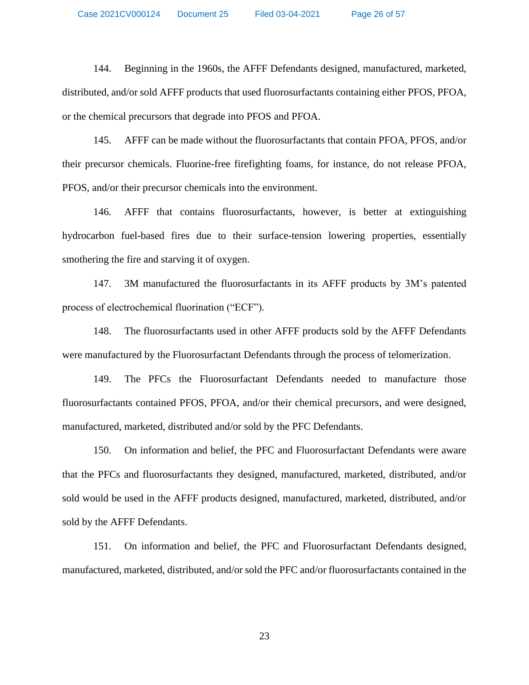144. Beginning in the 1960s, the AFFF Defendants designed, manufactured, marketed, distributed, and/or sold AFFF products that used fluorosurfactants containing either PFOS, PFOA, or the chemical precursors that degrade into PFOS and PFOA.

145. AFFF can be made without the fluorosurfactants that contain PFOA, PFOS, and/or their precursor chemicals. Fluorine-free firefighting foams, for instance, do not release PFOA, PFOS, and/or their precursor chemicals into the environment.

146. AFFF that contains fluorosurfactants, however, is better at extinguishing hydrocarbon fuel-based fires due to their surface-tension lowering properties, essentially smothering the fire and starving it of oxygen.

147. 3M manufactured the fluorosurfactants in its AFFF products by 3M's patented process of electrochemical fluorination ("ECF").

148. The fluorosurfactants used in other AFFF products sold by the AFFF Defendants were manufactured by the Fluorosurfactant Defendants through the process of telomerization.

149. The PFCs the Fluorosurfactant Defendants needed to manufacture those fluorosurfactants contained PFOS, PFOA, and/or their chemical precursors, and were designed, manufactured, marketed, distributed and/or sold by the PFC Defendants.

150. On information and belief, the PFC and Fluorosurfactant Defendants were aware that the PFCs and fluorosurfactants they designed, manufactured, marketed, distributed, and/or sold would be used in the AFFF products designed, manufactured, marketed, distributed, and/or sold by the AFFF Defendants.

151. On information and belief, the PFC and Fluorosurfactant Defendants designed, manufactured, marketed, distributed, and/or sold the PFC and/or fluorosurfactants contained in the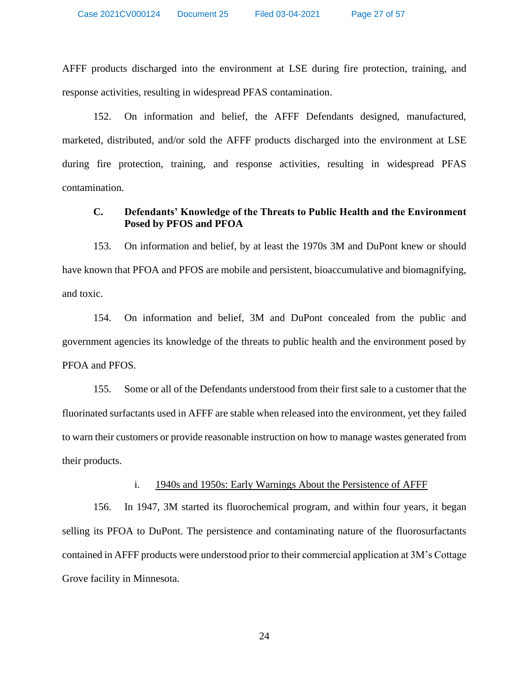AFFF products discharged into the environment at LSE during fire protection, training, and response activities, resulting in widespread PFAS contamination.

152. On information and belief, the AFFF Defendants designed, manufactured, marketed, distributed, and/or sold the AFFF products discharged into the environment at LSE during fire protection, training, and response activities, resulting in widespread PFAS contamination.

# **C. Defendants' Knowledge of the Threats to Public Health and the Environment Posed by PFOS and PFOA**

153. On information and belief, by at least the 1970s 3M and DuPont knew or should have known that PFOA and PFOS are mobile and persistent, bioaccumulative and biomagnifying, and toxic.

154. On information and belief, 3M and DuPont concealed from the public and government agencies its knowledge of the threats to public health and the environment posed by PFOA and PFOS.

155. Some or all of the Defendants understood from their first sale to a customer that the fluorinated surfactants used in AFFF are stable when released into the environment, yet they failed to warn their customers or provide reasonable instruction on how to manage wastes generated from their products.

# i. 1940s and 1950s: Early Warnings About the Persistence of AFFF

156. In 1947, 3M started its fluorochemical program, and within four years, it began selling its PFOA to DuPont. The persistence and contaminating nature of the fluorosurfactants contained in AFFF products were understood prior to their commercial application at 3M's Cottage Grove facility in Minnesota.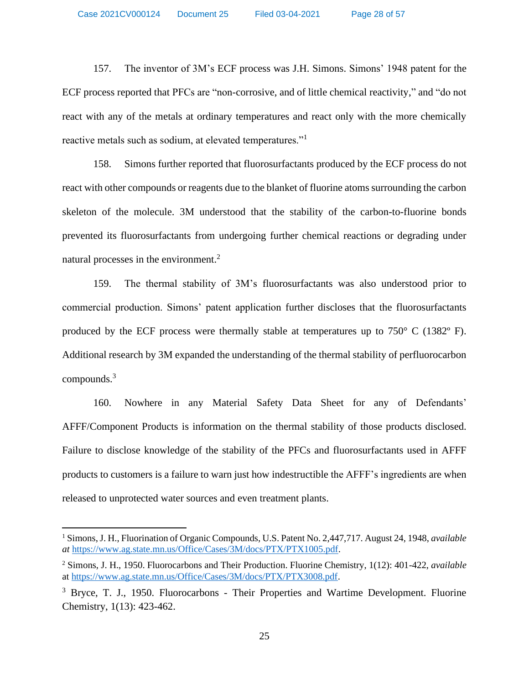157. The inventor of 3M's ECF process was J.H. Simons. Simons' 1948 patent for the ECF process reported that PFCs are "non-corrosive, and of little chemical reactivity," and "do not react with any of the metals at ordinary temperatures and react only with the more chemically reactive metals such as sodium, at elevated temperatures."<sup>1</sup>

158. Simons further reported that fluorosurfactants produced by the ECF process do not react with other compounds or reagents due to the blanket of fluorine atoms surrounding the carbon skeleton of the molecule. 3M understood that the stability of the carbon-to-fluorine bonds prevented its fluorosurfactants from undergoing further chemical reactions or degrading under natural processes in the environment. 2

159. The thermal stability of 3M's fluorosurfactants was also understood prior to commercial production. Simons' patent application further discloses that the fluorosurfactants produced by the ECF process were thermally stable at temperatures up to  $750^{\circ}$  C (1382 $^{\circ}$  F). Additional research by 3M expanded the understanding of the thermal stability of perfluorocarbon compounds.<sup>3</sup>

160. Nowhere in any Material Safety Data Sheet for any of Defendants' AFFF/Component Products is information on the thermal stability of those products disclosed. Failure to disclose knowledge of the stability of the PFCs and fluorosurfactants used in AFFF products to customers is a failure to warn just how indestructible the AFFF's ingredients are when released to unprotected water sources and even treatment plants.

<sup>1</sup> Simons, J. H., Fluorination of Organic Compounds, U.S. Patent No. 2,447,717. August 24, 1948, *available at* [https://www.ag.state.mn.us/Office/Cases/3M/docs/PTX/PTX1005.pdf.](https://www.ag.state.mn.us/Office/Cases/3M/docs/PTX/PTX1005.pdf)

<sup>2</sup> Simons, J. H., 1950. Fluorocarbons and Their Production. Fluorine Chemistry, 1(12): 401-422, *available* at [https://www.ag.state.mn.us/Office/Cases/3M/docs/PTX/PTX3008.pdf.](https://www.ag.state.mn.us/Office/Cases/3M/docs/PTX/PTX3008.pdf)

<sup>&</sup>lt;sup>3</sup> Bryce, T. J., 1950. Fluorocarbons - Their Properties and Wartime Development. Fluorine Chemistry, 1(13): 423-462.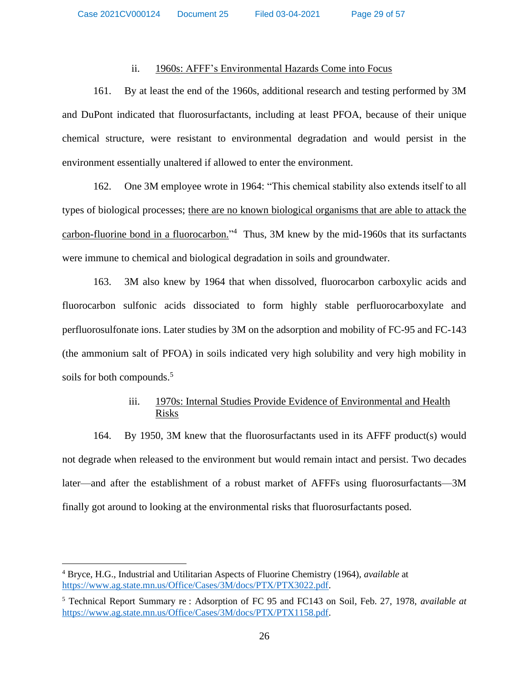# ii. 1960s: AFFF's Environmental Hazards Come into Focus

161. By at least the end of the 1960s, additional research and testing performed by 3M and DuPont indicated that fluorosurfactants, including at least PFOA, because of their unique chemical structure, were resistant to environmental degradation and would persist in the environment essentially unaltered if allowed to enter the environment.

162. One 3M employee wrote in 1964: "This chemical stability also extends itself to all types of biological processes; there are no known biological organisms that are able to attack the carbon-fluorine bond in a fluorocarbon."<sup>4</sup> Thus, 3M knew by the mid-1960s that its surfactants were immune to chemical and biological degradation in soils and groundwater.

163. 3M also knew by 1964 that when dissolved, fluorocarbon carboxylic acids and fluorocarbon sulfonic acids dissociated to form highly stable perfluorocarboxylate and perfluorosulfonate ions. Later studies by 3M on the adsorption and mobility of FC-95 and FC-143 (the ammonium salt of PFOA) in soils indicated very high solubility and very high mobility in soils for both compounds.<sup>5</sup>

# iii. 1970s: Internal Studies Provide Evidence of Environmental and Health Risks

164. By 1950, 3M knew that the fluorosurfactants used in its AFFF product(s) would not degrade when released to the environment but would remain intact and persist. Two decades later—and after the establishment of a robust market of AFFFs using fluorosurfactants—3M finally got around to looking at the environmental risks that fluorosurfactants posed.

<sup>4</sup> Bryce, H.G., Industrial and Utilitarian Aspects of Fluorine Chemistry (1964), *available* at [https://www.ag.state.mn.us/Office/Cases/3M/docs/PTX/PTX3022.pdf.](https://www.ag.state.mn.us/Office/Cases/3M/docs/PTX/PTX3022.pdf)

<sup>5</sup> Technical Report Summary re : Adsorption of FC 95 and FC143 on Soil, Feb. 27, 1978, *available at* [https://www.ag.state.mn.us/Office/Cases/3M/docs/PTX/PTX1158.pdf.](https://www.ag.state.mn.us/Office/Cases/3M/docs/PTX/PTX1158.pdf)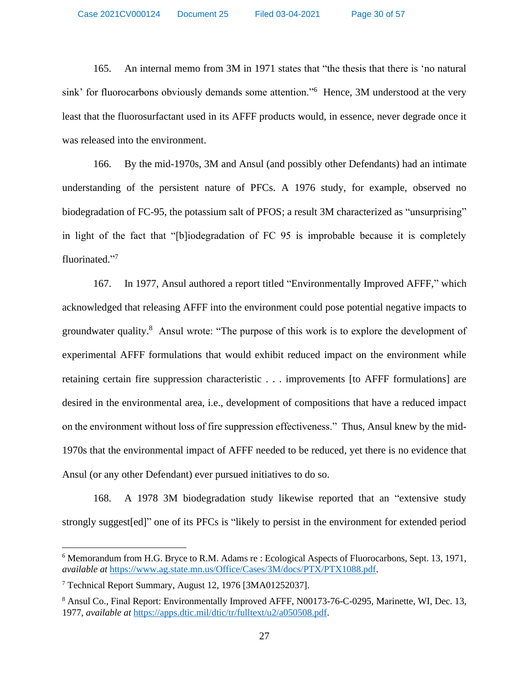165. An internal memo from 3M in 1971 states that "the thesis that there is 'no natural sink' for fluorocarbons obviously demands some attention."<sup>6</sup> Hence, 3M understood at the very least that the fluorosurfactant used in its AFFF products would, in essence, never degrade once it was released into the environment.

166. By the mid-1970s, 3M and Ansul (and possibly other Defendants) had an intimate understanding of the persistent nature of PFCs. A 1976 study, for example, observed no biodegradation of FC-95, the potassium salt of PFOS; a result 3M characterized as "unsurprising" in light of the fact that "[b]iodegradation of FC 95 is improbable because it is completely fluorinated."<sup>7</sup>

167. In 1977, Ansul authored a report titled "Environmentally Improved AFFF," which acknowledged that releasing AFFF into the environment could pose potential negative impacts to groundwater quality.<sup>8</sup> Ansul wrote: "The purpose of this work is to explore the development of experimental AFFF formulations that would exhibit reduced impact on the environment while retaining certain fire suppression characteristic . . . improvements [to AFFF formulations] are desired in the environmental area, i.e., development of compositions that have a reduced impact on the environment without loss of fire suppression effectiveness." Thus, Ansul knew by the mid-1970s that the environmental impact of AFFF needed to be reduced, yet there is no evidence that Ansul (or any other Defendant) ever pursued initiatives to do so.

168. A 1978 3M biodegradation study likewise reported that an "extensive study strongly suggest[ed]" one of its PFCs is "likely to persist in the environment for extended period

<sup>6</sup> Memorandum from H.G. Bryce to R.M. Adams re : Ecological Aspects of Fluorocarbons, Sept. 13, 1971, *available at* [https://www.ag.state.mn.us/Office/Cases/3M/docs/PTX/PTX1088.pdf.](https://www.ag.state.mn.us/Office/Cases/3M/docs/PTX/PTX1088.pdf)

<sup>7</sup> Technical Report Summary, August 12, 1976 [3MA01252037].

<sup>&</sup>lt;sup>8</sup> Ansul Co., Final Report: Environmentally Improved AFFF, N00173-76-C-0295, Marinette, WI, Dec. 13, 1977, *available at* [https://apps.dtic.mil/dtic/tr/fulltext/u2/a050508.pdf.](https://apps.dtic.mil/dtic/tr/fulltext/u2/a050508.pdf)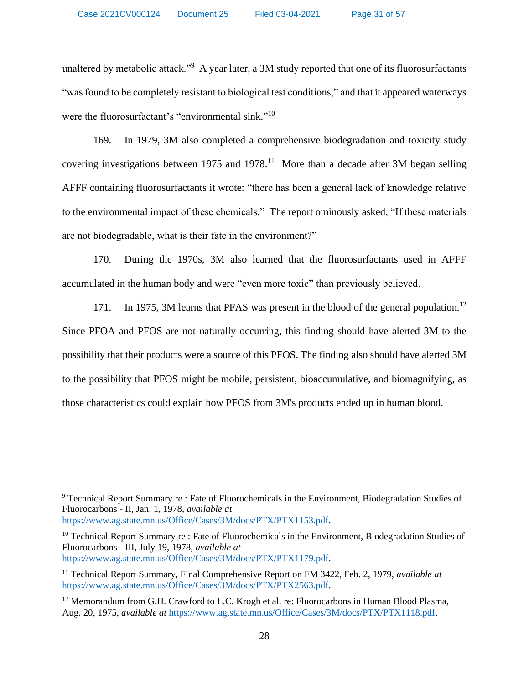unaltered by metabolic attack."<sup>9</sup> A year later, a 3M study reported that one of its fluorosurfactants "was found to be completely resistant to biological test conditions," and that it appeared waterways were the fluorosurfactant's "environmental sink."<sup>10</sup>

169. In 1979, 3M also completed a comprehensive biodegradation and toxicity study covering investigations between 1975 and 1978.<sup>11</sup> More than a decade after 3M began selling AFFF containing fluorosurfactants it wrote: "there has been a general lack of knowledge relative to the environmental impact of these chemicals." The report ominously asked, "If these materials are not biodegradable, what is their fate in the environment?"

170. During the 1970s, 3M also learned that the fluorosurfactants used in AFFF accumulated in the human body and were "even more toxic" than previously believed.

171. In 1975, 3M learns that PFAS was present in the blood of the general population.<sup>12</sup> Since PFOA and PFOS are not naturally occurring, this finding should have alerted 3M to the possibility that their products were a source of this PFOS. The finding also should have alerted 3M to the possibility that PFOS might be mobile, persistent, bioaccumulative, and biomagnifying, as those characteristics could explain how PFOS from 3M's products ended up in human blood.

<sup>10</sup> Technical Report Summary re : Fate of Fluorochemicals in the Environment, Biodegradation Studies of Fluorocarbons - III, July 19, 1978, *available at* [https://www.ag.state.mn.us/Office/Cases/3M/docs/PTX/PTX1179.pdf.](https://www.ag.state.mn.us/Office/Cases/3M/docs/PTX/PTX1179.pdf)

<sup>9</sup> Technical Report Summary re : Fate of Fluorochemicals in the Environment, Biodegradation Studies of Fluorocarbons - II, Jan. 1, 1978, *available at* [https://www.ag.state.mn.us/Office/Cases/3M/docs/PTX/PTX1153.pdf.](https://www.ag.state.mn.us/Office/Cases/3M/docs/PTX/PTX1153.pdf)

<sup>11</sup> Technical Report Summary, Final Comprehensive Report on FM 3422, Feb. 2, 1979, *available at* [https://www.ag.state.mn.us/Office/Cases/3M/docs/PTX/PTX2563.pdf.](https://www.ag.state.mn.us/Office/Cases/3M/docs/PTX/PTX2563.pdf)

 $12$  Memorandum from G.H. Crawford to L.C. Krogh et al. re: Fluorocarbons in Human Blood Plasma, Aug. 20, 1975, *available at* [https://www.ag.state.mn.us/Office/Cases/3M/docs/PTX/PTX1118.pdf.](https://www.ag.state.mn.us/Office/Cases/3M/docs/PTX/PTX1118.pdf)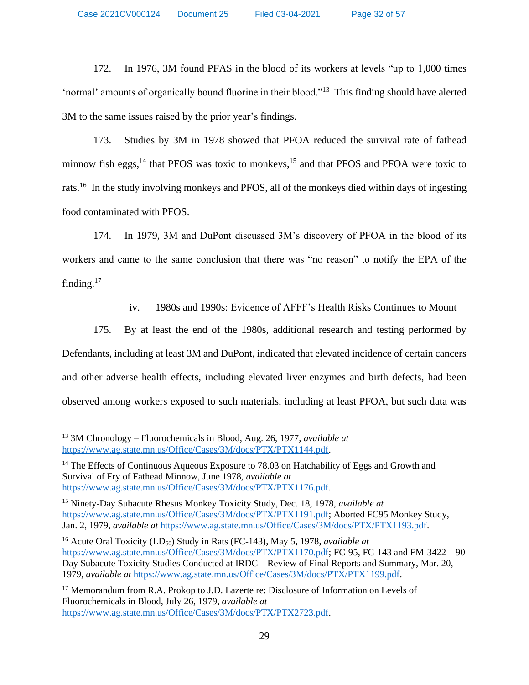Case 2021CV000124 Document 25 Filed 03-04-2021 Page 32 of 57

172. In 1976, 3M found PFAS in the blood of its workers at levels "up to 1,000 times 'normal' amounts of organically bound fluorine in their blood."<sup>13</sup> This finding should have alerted 3M to the same issues raised by the prior year's findings.

173. Studies by 3M in 1978 showed that PFOA reduced the survival rate of fathead minnow fish eggs,<sup>14</sup> that PFOS was toxic to monkeys,<sup>15</sup> and that PFOS and PFOA were toxic to rats.<sup>16</sup> In the study involving monkeys and PFOS, all of the monkeys died within days of ingesting food contaminated with PFOS.

174. In 1979, 3M and DuPont discussed 3M's discovery of PFOA in the blood of its workers and came to the same conclusion that there was "no reason" to notify the EPA of the finding.<sup>17</sup>

# iv. 1980s and 1990s: Evidence of AFFF's Health Risks Continues to Mount

175. By at least the end of the 1980s, additional research and testing performed by Defendants, including at least 3M and DuPont, indicated that elevated incidence of certain cancers and other adverse health effects, including elevated liver enzymes and birth defects, had been observed among workers exposed to such materials, including at least PFOA, but such data was

<sup>13</sup> 3M Chronology – Fluorochemicals in Blood, Aug. 26, 1977, *available at*  [https://www.ag.state.mn.us/Office/Cases/3M/docs/PTX/PTX1144.pdf.](https://www.ag.state.mn.us/Office/Cases/3M/docs/PTX/PTX1144.pdf)

<sup>&</sup>lt;sup>14</sup> The Effects of Continuous Aqueous Exposure to 78.03 on Hatchability of Eggs and Growth and Survival of Fry of Fathead Minnow, June 1978, *available at* [https://www.ag.state.mn.us/Office/Cases/3M/docs/PTX/PTX1176.pdf.](https://www.ag.state.mn.us/Office/Cases/3M/docs/PTX/PTX1176.pdf)

<sup>15</sup> Ninety-Day Subacute Rhesus Monkey Toxicity Study, Dec. 18, 1978, *available at*  [https://www.ag.state.mn.us/Office/Cases/3M/docs/PTX/PTX1191.pdf;](https://www.ag.state.mn.us/Office/Cases/3M/docs/PTX/PTX1191.pdf) Aborted FC95 Monkey Study, Jan. 2, 1979, *available at* [https://www.ag.state.mn.us/Office/Cases/3M/docs/PTX/PTX1193.pdf.](https://www.ag.state.mn.us/Office/Cases/3M/docs/PTX/PTX1193.pdf)

<sup>&</sup>lt;sup>16</sup> Acute Oral Toxicity (LD<sub>50</sub>) Study in Rats (FC-143), May 5, 1978, *available at* [https://www.ag.state.mn.us/Office/Cases/3M/docs/PTX/PTX1170.pdf;](https://www.ag.state.mn.us/Office/Cases/3M/docs/PTX/PTX1170.pdf) FC-95, FC-143 and FM-3422 – 90 Day Subacute Toxicity Studies Conducted at IRDC – Review of Final Reports and Summary, Mar. 20, 1979, *available at* [https://www.ag.state.mn.us/Office/Cases/3M/docs/PTX/PTX1199.pdf.](https://www.ag.state.mn.us/Office/Cases/3M/docs/PTX/PTX1199.pdf)

<sup>&</sup>lt;sup>17</sup> Memorandum from R.A. Prokop to J.D. Lazerte re: Disclosure of Information on Levels of Fluorochemicals in Blood, July 26, 1979, *available at* [https://www.ag.state.mn.us/Office/Cases/3M/docs/PTX/PTX2723.pdf.](https://www.ag.state.mn.us/Office/Cases/3M/docs/PTX/PTX2723.pdf)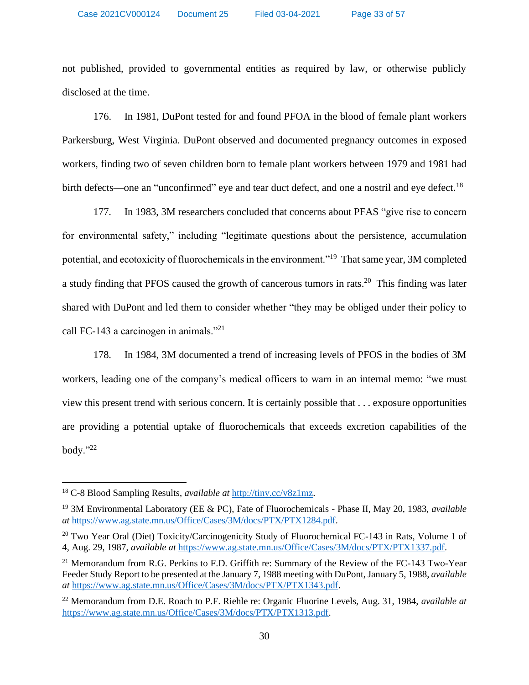not published, provided to governmental entities as required by law, or otherwise publicly disclosed at the time.

176. In 1981, DuPont tested for and found PFOA in the blood of female plant workers Parkersburg, West Virginia. DuPont observed and documented pregnancy outcomes in exposed workers, finding two of seven children born to female plant workers between 1979 and 1981 had birth defects—one an "unconfirmed" eye and tear duct defect, and one a nostril and eye defect.<sup>18</sup>

177. In 1983, 3M researchers concluded that concerns about PFAS "give rise to concern for environmental safety," including "legitimate questions about the persistence, accumulation potential, and ecotoxicity of fluorochemicals in the environment."<sup>19</sup> That same year, 3M completed a study finding that PFOS caused the growth of cancerous tumors in rats.<sup>20</sup> This finding was later shared with DuPont and led them to consider whether "they may be obliged under their policy to call FC-143 a carcinogen in animals."<sup>21</sup>

178. In 1984, 3M documented a trend of increasing levels of PFOS in the bodies of 3M workers, leading one of the company's medical officers to warn in an internal memo: "we must view this present trend with serious concern. It is certainly possible that . . . exposure opportunities are providing a potential uptake of fluorochemicals that exceeds excretion capabilities of the body." $^{22}$ 

<sup>18</sup> C-8 Blood Sampling Results, *available at* [http://tiny.cc/v8z1mz.](http://tiny.cc/v8z1mz)

<sup>19</sup> 3M Environmental Laboratory (EE & PC), Fate of Fluorochemicals - Phase II, May 20, 1983, *available at* [https://www.ag.state.mn.us/Office/Cases/3M/docs/PTX/PTX1284.pdf.](https://www.ag.state.mn.us/Office/Cases/3M/docs/PTX/PTX1284.pdf)

<sup>&</sup>lt;sup>20</sup> Two Year Oral (Diet) Toxicity/Carcinogenicity Study of Fluorochemical FC-143 in Rats, Volume 1 of 4, Aug. 29, 1987, *available at* [https://www.ag.state.mn.us/Office/Cases/3M/docs/PTX/PTX1337.pdf.](https://www.ag.state.mn.us/Office/Cases/3M/docs/PTX/PTX1337.pdf)

<sup>&</sup>lt;sup>21</sup> Memorandum from R.G. Perkins to F.D. Griffith re: Summary of the Review of the FC-143 Two-Year Feeder Study Report to be presented at the January 7, 1988 meeting with DuPont, January 5, 1988, *available at* [https://www.ag.state.mn.us/Office/Cases/3M/docs/PTX/PTX1343.pdf.](https://www.ag.state.mn.us/Office/Cases/3M/docs/PTX/PTX1343.pdf)

<sup>22</sup> Memorandum from D.E. Roach to P.F. Riehle re: Organic Fluorine Levels, Aug. 31, 1984, *available at*  [https://www.ag.state.mn.us/Office/Cases/3M/docs/PTX/PTX1313.pdf.](https://www.ag.state.mn.us/Office/Cases/3M/docs/PTX/PTX1313.pdf)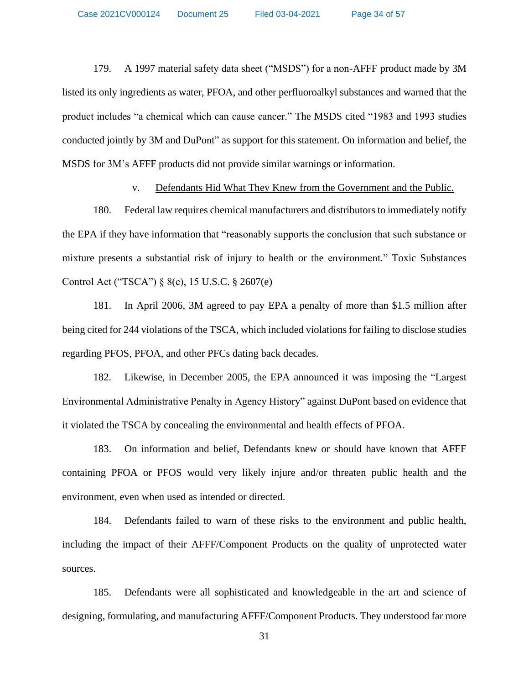179. A 1997 material safety data sheet ("MSDS") for a non-AFFF product made by 3M listed its only ingredients as water, PFOA, and other perfluoroalkyl substances and warned that the product includes "a chemical which can cause cancer." The MSDS cited "1983 and 1993 studies conducted jointly by 3M and DuPont" as support for this statement. On information and belief, the MSDS for 3M's AFFF products did not provide similar warnings or information.

#### v. Defendants Hid What They Knew from the Government and the Public.

180. Federal law requires chemical manufacturers and distributors to immediately notify the EPA if they have information that "reasonably supports the conclusion that such substance or mixture presents a substantial risk of injury to health or the environment." Toxic Substances Control Act ("TSCA") § 8(e), 15 U.S.C. § 2607(e)

181. In April 2006, 3M agreed to pay EPA a penalty of more than \$1.5 million after being cited for 244 violations of the TSCA, which included violations for failing to disclose studies regarding PFOS, PFOA, and other PFCs dating back decades.

182. Likewise, in December 2005, the EPA announced it was imposing the "Largest Environmental Administrative Penalty in Agency History" against DuPont based on evidence that it violated the TSCA by concealing the environmental and health effects of PFOA.

183. On information and belief, Defendants knew or should have known that AFFF containing PFOA or PFOS would very likely injure and/or threaten public health and the environment, even when used as intended or directed.

184. Defendants failed to warn of these risks to the environment and public health, including the impact of their AFFF/Component Products on the quality of unprotected water sources.

185. Defendants were all sophisticated and knowledgeable in the art and science of designing, formulating, and manufacturing AFFF/Component Products. They understood far more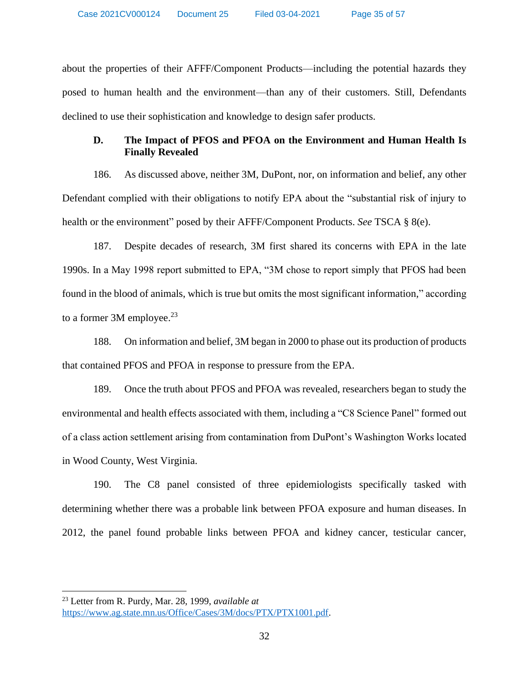about the properties of their AFFF/Component Products—including the potential hazards they posed to human health and the environment—than any of their customers. Still, Defendants declined to use their sophistication and knowledge to design safer products.

# **D. The Impact of PFOS and PFOA on the Environment and Human Health Is Finally Revealed**

186. As discussed above, neither 3M, DuPont, nor, on information and belief, any other Defendant complied with their obligations to notify EPA about the "substantial risk of injury to health or the environment" posed by their AFFF/Component Products. *See* TSCA § 8(e).

187. Despite decades of research, 3M first shared its concerns with EPA in the late 1990s. In a May 1998 report submitted to EPA, "3M chose to report simply that PFOS had been found in the blood of animals, which is true but omits the most significant information," according to a former 3M employee. $23$ 

188. On information and belief, 3M began in 2000 to phase out its production of products that contained PFOS and PFOA in response to pressure from the EPA.

189. Once the truth about PFOS and PFOA was revealed, researchers began to study the environmental and health effects associated with them, including a "C8 Science Panel" formed out of a class action settlement arising from contamination from DuPont's Washington Works located in Wood County, West Virginia.

190. The C8 panel consisted of three epidemiologists specifically tasked with determining whether there was a probable link between PFOA exposure and human diseases. In 2012, the panel found probable links between PFOA and kidney cancer, testicular cancer,

<sup>23</sup> Letter from R. Purdy, Mar. 28, 1999, *available at* [https://www.ag.state.mn.us/Office/Cases/3M/docs/PTX/PTX1001.pdf.](https://www.ag.state.mn.us/Office/Cases/3M/docs/PTX/PTX1001.pdf)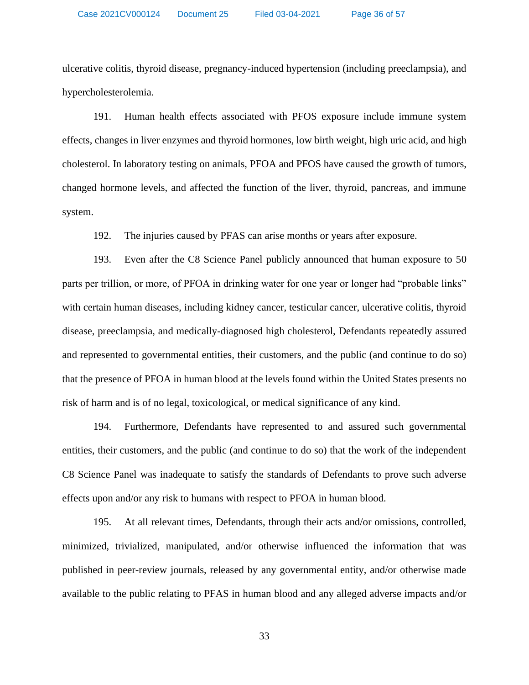ulcerative colitis, thyroid disease, pregnancy-induced hypertension (including preeclampsia), and hypercholesterolemia.

191. Human health effects associated with PFOS exposure include immune system effects, changes in liver enzymes and thyroid hormones, low birth weight, high uric acid, and high cholesterol. In laboratory testing on animals, PFOA and PFOS have caused the growth of tumors, changed hormone levels, and affected the function of the liver, thyroid, pancreas, and immune system.

192. The injuries caused by PFAS can arise months or years after exposure.

193. Even after the C8 Science Panel publicly announced that human exposure to 50 parts per trillion, or more, of PFOA in drinking water for one year or longer had "probable links" with certain human diseases, including kidney cancer, testicular cancer, ulcerative colitis, thyroid disease, preeclampsia, and medically-diagnosed high cholesterol, Defendants repeatedly assured and represented to governmental entities, their customers, and the public (and continue to do so) that the presence of PFOA in human blood at the levels found within the United States presents no risk of harm and is of no legal, toxicological, or medical significance of any kind.

194. Furthermore, Defendants have represented to and assured such governmental entities, their customers, and the public (and continue to do so) that the work of the independent C8 Science Panel was inadequate to satisfy the standards of Defendants to prove such adverse effects upon and/or any risk to humans with respect to PFOA in human blood.

195. At all relevant times, Defendants, through their acts and/or omissions, controlled, minimized, trivialized, manipulated, and/or otherwise influenced the information that was published in peer-review journals, released by any governmental entity, and/or otherwise made available to the public relating to PFAS in human blood and any alleged adverse impacts and/or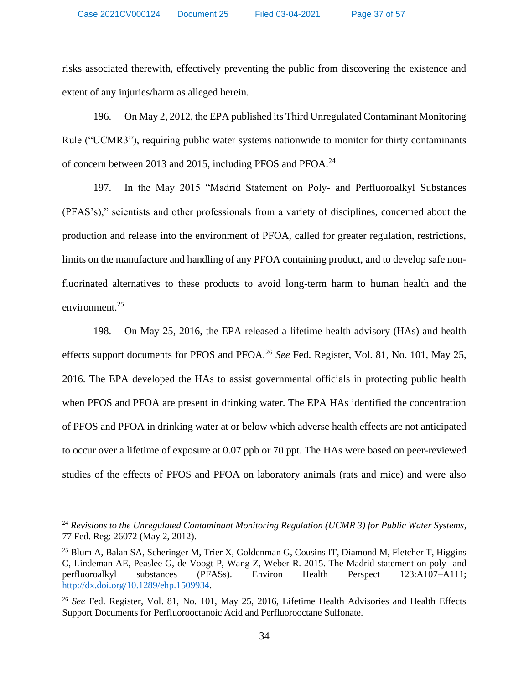risks associated therewith, effectively preventing the public from discovering the existence and extent of any injuries/harm as alleged herein.

196. On May 2, 2012, the EPA published its Third Unregulated Contaminant Monitoring Rule ("UCMR3"), requiring public water systems nationwide to monitor for thirty contaminants of concern between 2013 and 2015, including PFOS and PFOA.<sup>24</sup>

197. In the May 2015 "Madrid Statement on Poly- and Perfluoroalkyl Substances (PFAS's)," scientists and other professionals from a variety of disciplines, concerned about the production and release into the environment of PFOA, called for greater regulation, restrictions, limits on the manufacture and handling of any PFOA containing product, and to develop safe nonfluorinated alternatives to these products to avoid long-term harm to human health and the environment.<sup>25</sup>

198. On May 25, 2016, the EPA released a lifetime health advisory (HAs) and health effects support documents for PFOS and PFOA.<sup>26</sup> *See* Fed. Register, Vol. 81, No. 101, May 25, 2016. The EPA developed the HAs to assist governmental officials in protecting public health when PFOS and PFOA are present in drinking water. The EPA HAs identified the concentration of PFOS and PFOA in drinking water at or below which adverse health effects are not anticipated to occur over a lifetime of exposure at 0.07 ppb or 70 ppt. The HAs were based on peer-reviewed studies of the effects of PFOS and PFOA on laboratory animals (rats and mice) and were also

<sup>24</sup> *Revisions to the Unregulated Contaminant Monitoring Regulation (UCMR 3) for Public Water Systems*, 77 Fed. Reg: 26072 (May 2, 2012).

<sup>&</sup>lt;sup>25</sup> Blum A, Balan SA, Scheringer M, Trier X, Goldenman G, Cousins IT, Diamond M, Fletcher T, Higgins C, Lindeman AE, Peaslee G, de Voogt P, Wang Z, Weber R. 2015. The Madrid statement on poly- and perfluoroalkyl substances (PFASs). Environ Health Perspect 123:A107–A111; [http://dx.doi.org/10.1289/ehp.1509934.](http://dx.doi.org/10.1289/ehp.1509934)

<sup>26</sup> *See* Fed. Register, Vol. 81, No. 101, May 25, 2016, Lifetime Health Advisories and Health Effects Support Documents for Perfluorooctanoic Acid and Perfluorooctane Sulfonate.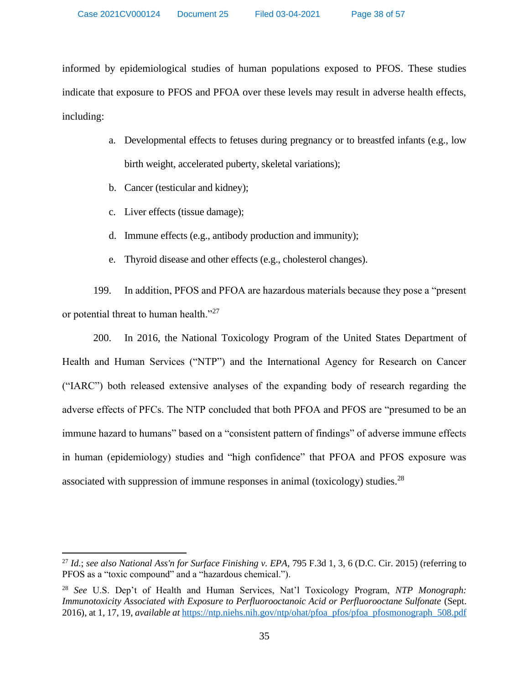informed by epidemiological studies of human populations exposed to PFOS. These studies indicate that exposure to PFOS and PFOA over these levels may result in adverse health effects, including:

- a. Developmental effects to fetuses during pregnancy or to breastfed infants (e.g., low birth weight, accelerated puberty, skeletal variations);
- b. Cancer (testicular and kidney);
- c. Liver effects (tissue damage);
- d. Immune effects (e.g., antibody production and immunity);
- e. Thyroid disease and other effects (e.g., cholesterol changes).

199. In addition, PFOS and PFOA are hazardous materials because they pose a "present or potential threat to human health."<sup>27</sup>

200. In 2016, the National Toxicology Program of the United States Department of Health and Human Services ("NTP") and the International Agency for Research on Cancer ("IARC") both released extensive analyses of the expanding body of research regarding the adverse effects of PFCs. The NTP concluded that both PFOA and PFOS are "presumed to be an immune hazard to humans" based on a "consistent pattern of findings" of adverse immune effects in human (epidemiology) studies and "high confidence" that PFOA and PFOS exposure was associated with suppression of immune responses in animal (toxicology) studies.<sup>28</sup>

<sup>27</sup> *Id.*; *see also National Ass'n for Surface Finishing v. EPA*, 795 F.3d 1, 3, 6 (D.C. Cir. 2015) (referring to PFOS as a "toxic compound" and a "hazardous chemical.").

<sup>28</sup> *See* U.S. Dep't of Health and Human Services, Nat'l Toxicology Program, *NTP Monograph: Immunotoxicity Associated with Exposure to Perfluorooctanoic Acid or Perfluorooctane Sulfonate* (Sept. 2016), at 1, 17, 19, *available at* [https://ntp.niehs.nih.gov/ntp/ohat/pfoa\\_pfos/pfoa\\_pfosmonograph\\_508.pdf](https://ntp.niehs.nih.gov/ntp/ohat/pfoa_pfos/pfoa_pfosmonograph_508.pdf)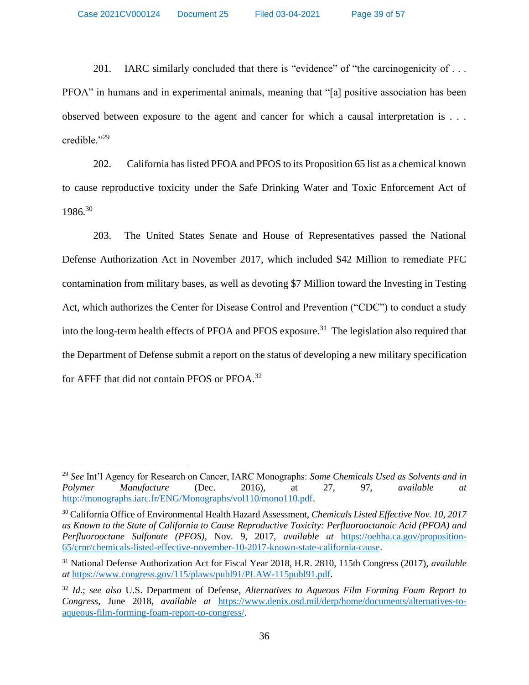Case 2021CV000124 Document 25 Filed 03-04-2021 Page 39 of 57

201. IARC similarly concluded that there is "evidence" of "the carcinogenicity of ... PFOA" in humans and in experimental animals, meaning that "[a] positive association has been observed between exposure to the agent and cancer for which a causal interpretation is . . . credible."<sup>29</sup>

202. California has listed PFOA and PFOS to its Proposition 65 list as a chemical known to cause reproductive toxicity under the Safe Drinking Water and Toxic Enforcement Act of 1986.<sup>30</sup>

203. The United States Senate and House of Representatives passed the National Defense Authorization Act in November 2017, which included \$42 Million to remediate PFC contamination from military bases, as well as devoting \$7 Million toward the Investing in Testing Act, which authorizes the Center for Disease Control and Prevention ("CDC") to conduct a study into the long-term health effects of PFOA and PFOS exposure.<sup>31</sup> The legislation also required that the Department of Defense submit a report on the status of developing a new military specification for AFFF that did not contain PFOS or PFOA.<sup>32</sup>

<sup>29</sup> *See* Int'l Agency for Research on Cancer, IARC Monographs: *Some Chemicals Used as Solvents and in Polymer Manufacture* (Dec. 2016), at 27, 97, *available at*  [http://monographs.iarc.fr/ENG/Monographs/vol110/mono110.pdf.](http://monographs.iarc.fr/ENG/Monographs/vol110/mono110.pdf)

<sup>30</sup> California Office of Environmental Health Hazard Assessment, *Chemicals Listed Effective Nov. 10, 2017 as Known to the State of California to Cause Reproductive Toxicity: Perfluorooctanoic Acid (PFOA) and Perfluorooctane Sulfonate (PFOS)*, Nov. 9, 2017, *available at* [https://oehha.ca.gov/proposition-](https://oehha.ca.gov/proposition-65/crnr/chemicals-listed-effective-november-10-2017-known-state-california-cause)[65/crnr/chemicals-listed-effective-november-10-2017-known-state-california-cause.](https://oehha.ca.gov/proposition-65/crnr/chemicals-listed-effective-november-10-2017-known-state-california-cause)

<sup>31</sup> National Defense Authorization Act for Fiscal Year 2018, H.R. 2810, 115th Congress (2017), *available at* [https://www.congress.gov/115/plaws/publ91/PLAW-115publ91.pdf.](https://www.congress.gov/115/plaws/publ91/PLAW-115publ91.pdf)

<sup>32</sup> *Id.*; *see also* U.S. Department of Defense, *Alternatives to Aqueous Film Forming Foam Report to Congress*, June 2018, *available at* [https://www.denix.osd.mil/derp/home/documents/alternatives-to](https://www.denix.osd.mil/derp/home/documents/alternatives-to-aqueous-film-forming-foam-report-to-congress/)[aqueous-film-forming-foam-report-to-congress/.](https://www.denix.osd.mil/derp/home/documents/alternatives-to-aqueous-film-forming-foam-report-to-congress/)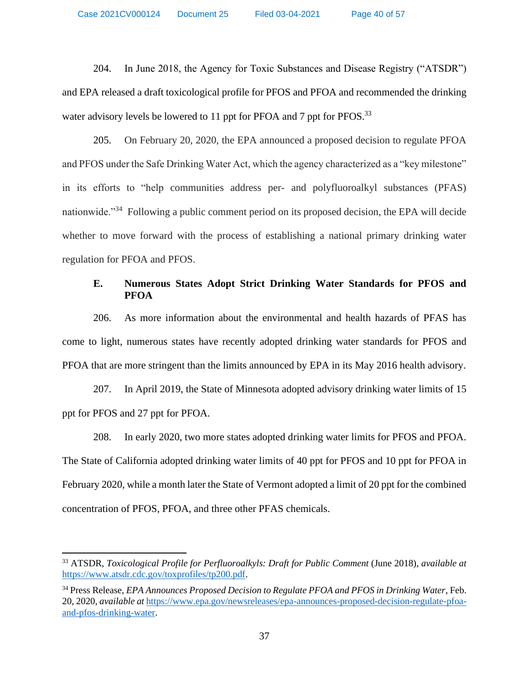204. In June 2018, the Agency for Toxic Substances and Disease Registry ("ATSDR") and EPA released a draft toxicological profile for PFOS and PFOA and recommended the drinking water advisory levels be lowered to 11 ppt for PFOA and 7 ppt for PFOS.<sup>33</sup>

205. On February 20, 2020, the EPA announced a proposed decision to regulate PFOA and PFOS under the Safe Drinking Water Act, which the agency characterized as a "key milestone" in its efforts to "help communities address per- and polyfluoroalkyl substances (PFAS) nationwide."<sup>34</sup> Following a public comment period on its proposed decision, the EPA will decide whether to move forward with the process of establishing a national primary drinking water regulation for PFOA and PFOS.

# **E. Numerous States Adopt Strict Drinking Water Standards for PFOS and PFOA**

206. As more information about the environmental and health hazards of PFAS has come to light, numerous states have recently adopted drinking water standards for PFOS and PFOA that are more stringent than the limits announced by EPA in its May 2016 health advisory.

207. In April 2019, the State of Minnesota adopted advisory drinking water limits of 15 ppt for PFOS and 27 ppt for PFOA.

208. In early 2020, two more states adopted drinking water limits for PFOS and PFOA. The State of California adopted drinking water limits of 40 ppt for PFOS and 10 ppt for PFOA in February 2020, while a month later the State of Vermont adopted a limit of 20 ppt for the combined concentration of PFOS, PFOA, and three other PFAS chemicals.

<sup>33</sup> ATSDR, *Toxicological Profile for Perfluoroalkyls: Draft for Public Comment* (June 2018), *available at*  [https://www.atsdr.cdc.gov/toxprofiles/tp200.pdf.](https://www.atsdr.cdc.gov/toxprofiles/tp200.pdf)

<sup>34</sup> Press Release, *EPA Announces Proposed Decision to Regulate PFOA and PFOS in Drinking Water*, Feb. 20, 2020, *available at* [https://www.epa.gov/newsreleases/epa-announces-proposed-decision-regulate-pfoa](https://www.epa.gov/newsreleases/epa-announces-proposed-decision-regulate-pfoa-and-pfos-drinking-water)[and-pfos-drinking-water.](https://www.epa.gov/newsreleases/epa-announces-proposed-decision-regulate-pfoa-and-pfos-drinking-water)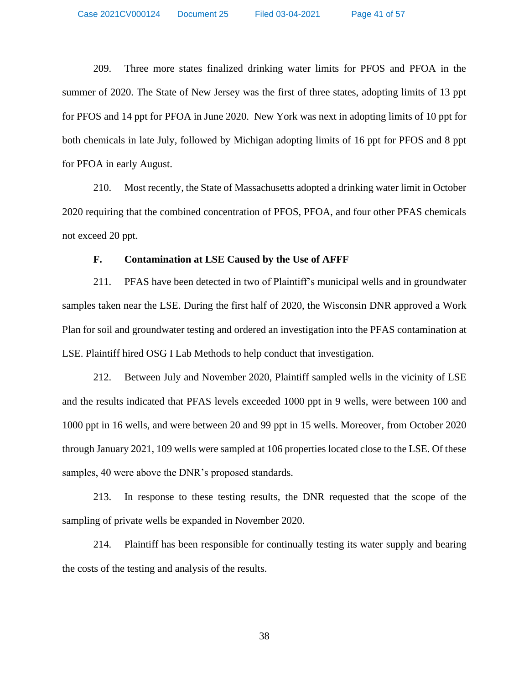209. Three more states finalized drinking water limits for PFOS and PFOA in the summer of 2020. The State of New Jersey was the first of three states, adopting limits of 13 ppt for PFOS and 14 ppt for PFOA in June 2020. New York was next in adopting limits of 10 ppt for both chemicals in late July, followed by Michigan adopting limits of 16 ppt for PFOS and 8 ppt for PFOA in early August.

210. Most recently, the State of Massachusetts adopted a drinking water limit in October 2020 requiring that the combined concentration of PFOS, PFOA, and four other PFAS chemicals not exceed 20 ppt.

# **F. Contamination at LSE Caused by the Use of AFFF**

211. PFAS have been detected in two of Plaintiff's municipal wells and in groundwater samples taken near the LSE. During the first half of 2020, the Wisconsin DNR approved a Work Plan for soil and groundwater testing and ordered an investigation into the PFAS contamination at LSE. Plaintiff hired OSG I Lab Methods to help conduct that investigation.

212. Between July and November 2020, Plaintiff sampled wells in the vicinity of LSE and the results indicated that PFAS levels exceeded 1000 ppt in 9 wells, were between 100 and 1000 ppt in 16 wells, and were between 20 and 99 ppt in 15 wells. Moreover, from October 2020 through January 2021, 109 wells were sampled at 106 properties located close to the LSE. Of these samples, 40 were above the DNR's proposed standards.

213. In response to these testing results, the DNR requested that the scope of the sampling of private wells be expanded in November 2020.

214. Plaintiff has been responsible for continually testing its water supply and bearing the costs of the testing and analysis of the results.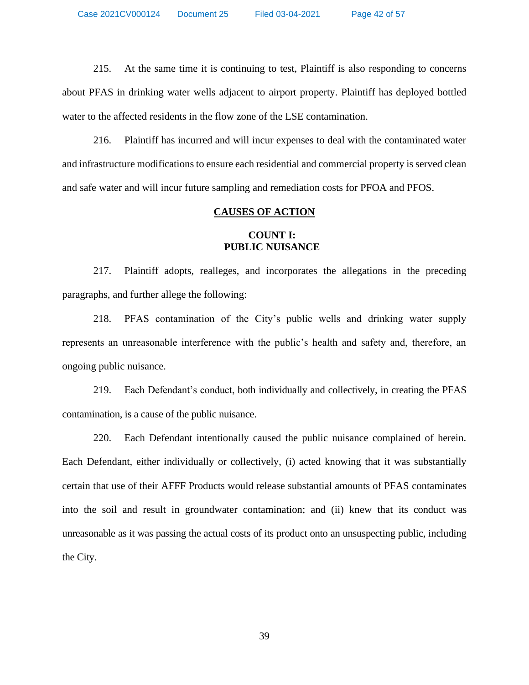215. At the same time it is continuing to test, Plaintiff is also responding to concerns about PFAS in drinking water wells adjacent to airport property. Plaintiff has deployed bottled water to the affected residents in the flow zone of the LSE contamination.

216. Plaintiff has incurred and will incur expenses to deal with the contaminated water and infrastructure modifications to ensure each residential and commercial property is served clean and safe water and will incur future sampling and remediation costs for PFOA and PFOS.

### **CAUSES OF ACTION**

# **COUNT I: PUBLIC NUISANCE**

217. Plaintiff adopts, realleges, and incorporates the allegations in the preceding paragraphs, and further allege the following:

218. PFAS contamination of the City's public wells and drinking water supply represents an unreasonable interference with the public's health and safety and, therefore, an ongoing public nuisance.

219. Each Defendant's conduct, both individually and collectively, in creating the PFAS contamination, is a cause of the public nuisance.

220. Each Defendant intentionally caused the public nuisance complained of herein. Each Defendant, either individually or collectively, (i) acted knowing that it was substantially certain that use of their AFFF Products would release substantial amounts of PFAS contaminates into the soil and result in groundwater contamination; and (ii) knew that its conduct was unreasonable as it was passing the actual costs of its product onto an unsuspecting public, including the City.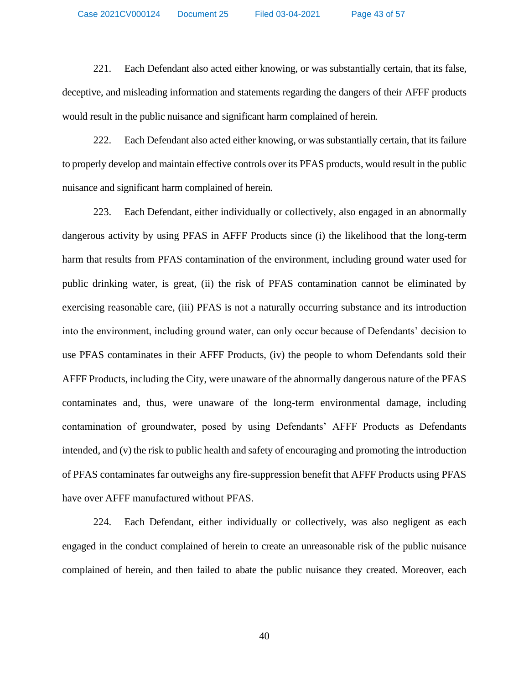221. Each Defendant also acted either knowing, or was substantially certain, that its false, deceptive, and misleading information and statements regarding the dangers of their AFFF products would result in the public nuisance and significant harm complained of herein.

222. Each Defendant also acted either knowing, or was substantially certain, that its failure to properly develop and maintain effective controls over its PFAS products, would result in the public nuisance and significant harm complained of herein.

223. Each Defendant, either individually or collectively, also engaged in an abnormally dangerous activity by using PFAS in AFFF Products since (i) the likelihood that the long-term harm that results from PFAS contamination of the environment, including ground water used for public drinking water, is great, (ii) the risk of PFAS contamination cannot be eliminated by exercising reasonable care, (iii) PFAS is not a naturally occurring substance and its introduction into the environment, including ground water, can only occur because of Defendants' decision to use PFAS contaminates in their AFFF Products, (iv) the people to whom Defendants sold their AFFF Products, including the City, were unaware of the abnormally dangerous nature of the PFAS contaminates and, thus, were unaware of the long-term environmental damage, including contamination of groundwater, posed by using Defendants' AFFF Products as Defendants intended, and (v) the risk to public health and safety of encouraging and promoting the introduction of PFAS contaminates far outweighs any fire-suppression benefit that AFFF Products using PFAS have over AFFF manufactured without PFAS.

224. Each Defendant, either individually or collectively, was also negligent as each engaged in the conduct complained of herein to create an unreasonable risk of the public nuisance complained of herein, and then failed to abate the public nuisance they created. Moreover, each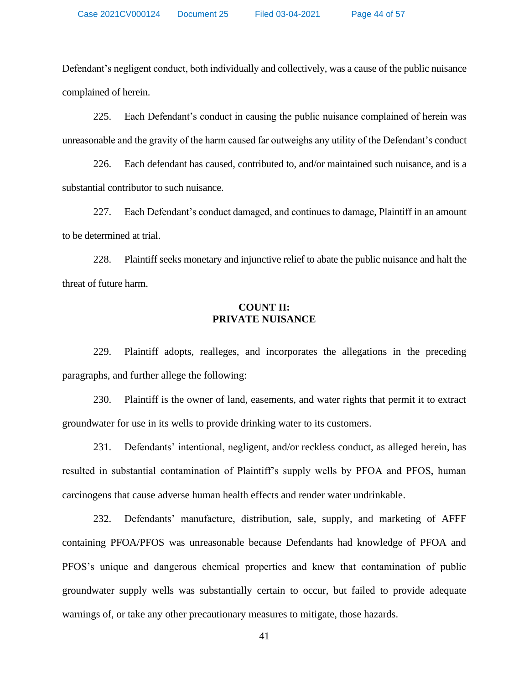Defendant's negligent conduct, both individually and collectively, was a cause of the public nuisance complained of herein.

225. Each Defendant's conduct in causing the public nuisance complained of herein was unreasonable and the gravity of the harm caused far outweighs any utility of the Defendant's conduct

226. Each defendant has caused, contributed to, and/or maintained such nuisance, and is a substantial contributor to such nuisance.

227. Each Defendant's conduct damaged, and continues to damage, Plaintiff in an amount to be determined at trial.

228. Plaintiff seeks monetary and injunctive relief to abate the public nuisance and halt the threat of future harm.

# **COUNT II: PRIVATE NUISANCE**

229. Plaintiff adopts, realleges, and incorporates the allegations in the preceding paragraphs, and further allege the following:

230. Plaintiff is the owner of land, easements, and water rights that permit it to extract groundwater for use in its wells to provide drinking water to its customers.

231. Defendants' intentional, negligent, and/or reckless conduct, as alleged herein, has resulted in substantial contamination of Plaintiff's supply wells by PFOA and PFOS, human carcinogens that cause adverse human health effects and render water undrinkable.

232. Defendants' manufacture, distribution, sale, supply, and marketing of AFFF containing PFOA/PFOS was unreasonable because Defendants had knowledge of PFOA and PFOS's unique and dangerous chemical properties and knew that contamination of public groundwater supply wells was substantially certain to occur, but failed to provide adequate warnings of, or take any other precautionary measures to mitigate, those hazards.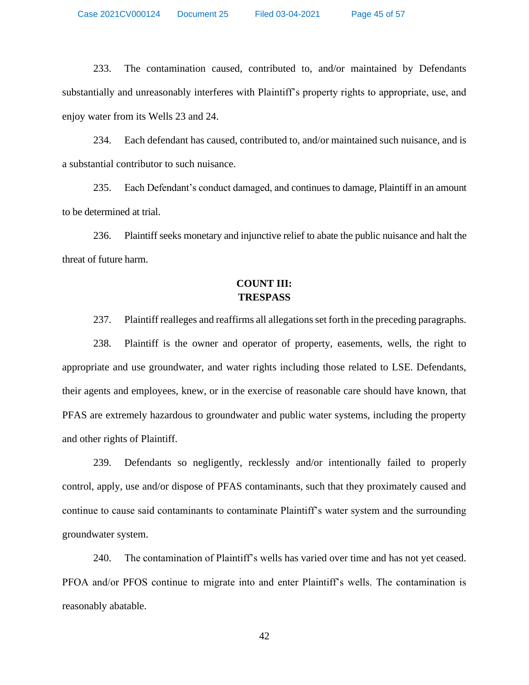Case 2021CV000124 Document 25 Filed 03-04-2021 Page 45 of 57

233. The contamination caused, contributed to, and/or maintained by Defendants substantially and unreasonably interferes with Plaintiff's property rights to appropriate, use, and enjoy water from its Wells 23 and 24.

234. Each defendant has caused, contributed to, and/or maintained such nuisance, and is a substantial contributor to such nuisance.

235. Each Defendant's conduct damaged, and continues to damage, Plaintiff in an amount to be determined at trial.

236. Plaintiff seeks monetary and injunctive relief to abate the public nuisance and halt the threat of future harm.

# **COUNT III: TRESPASS**

237. Plaintiff realleges and reaffirms all allegations set forth in the preceding paragraphs.

238. Plaintiff is the owner and operator of property, easements, wells, the right to appropriate and use groundwater, and water rights including those related to LSE. Defendants, their agents and employees, knew, or in the exercise of reasonable care should have known, that PFAS are extremely hazardous to groundwater and public water systems, including the property and other rights of Plaintiff.

239. Defendants so negligently, recklessly and/or intentionally failed to properly control, apply, use and/or dispose of PFAS contaminants, such that they proximately caused and continue to cause said contaminants to contaminate Plaintiff's water system and the surrounding groundwater system.

240. The contamination of Plaintiff's wells has varied over time and has not yet ceased. PFOA and/or PFOS continue to migrate into and enter Plaintiff's wells. The contamination is reasonably abatable.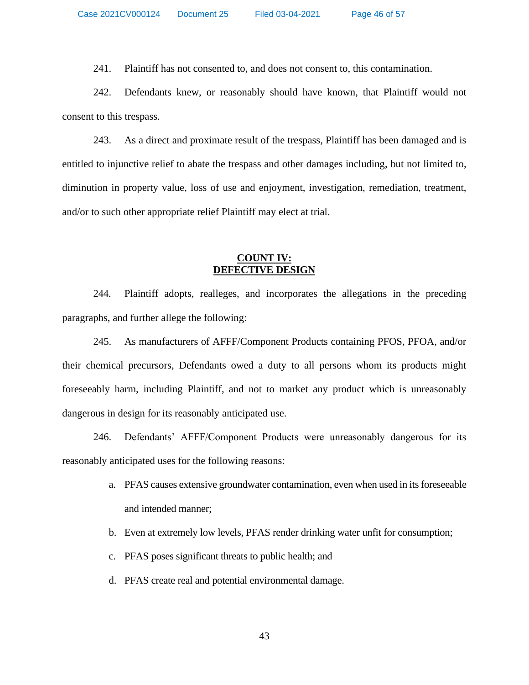241. Plaintiff has not consented to, and does not consent to, this contamination.

242. Defendants knew, or reasonably should have known, that Plaintiff would not consent to this trespass.

243. As a direct and proximate result of the trespass, Plaintiff has been damaged and is entitled to injunctive relief to abate the trespass and other damages including, but not limited to, diminution in property value, loss of use and enjoyment, investigation, remediation, treatment, and/or to such other appropriate relief Plaintiff may elect at trial.

### **COUNT IV: DEFECTIVE DESIGN**

244. Plaintiff adopts, realleges, and incorporates the allegations in the preceding paragraphs, and further allege the following:

245. As manufacturers of AFFF/Component Products containing PFOS, PFOA, and/or their chemical precursors, Defendants owed a duty to all persons whom its products might foreseeably harm, including Plaintiff, and not to market any product which is unreasonably dangerous in design for its reasonably anticipated use.

246. Defendants' AFFF/Component Products were unreasonably dangerous for its reasonably anticipated uses for the following reasons:

- a. PFAS causes extensive groundwater contamination, even when used in its foreseeable and intended manner;
- b. Even at extremely low levels, PFAS render drinking water unfit for consumption;
- c. PFAS poses significant threats to public health; and
- d. PFAS create real and potential environmental damage.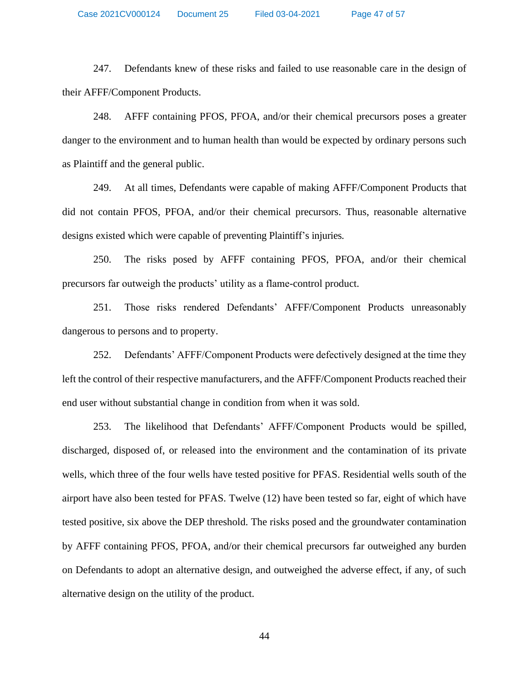247. Defendants knew of these risks and failed to use reasonable care in the design of their AFFF/Component Products.

248. AFFF containing PFOS, PFOA, and/or their chemical precursors poses a greater danger to the environment and to human health than would be expected by ordinary persons such as Plaintiff and the general public.

249. At all times, Defendants were capable of making AFFF/Component Products that did not contain PFOS, PFOA, and/or their chemical precursors. Thus, reasonable alternative designs existed which were capable of preventing Plaintiff's injuries.

250. The risks posed by AFFF containing PFOS, PFOA, and/or their chemical precursors far outweigh the products' utility as a flame-control product.

251. Those risks rendered Defendants' AFFF/Component Products unreasonably dangerous to persons and to property.

252. Defendants' AFFF/Component Products were defectively designed at the time they left the control of their respective manufacturers, and the AFFF/Component Products reached their end user without substantial change in condition from when it was sold.

253. The likelihood that Defendants' AFFF/Component Products would be spilled, discharged, disposed of, or released into the environment and the contamination of its private wells, which three of the four wells have tested positive for PFAS. Residential wells south of the airport have also been tested for PFAS. Twelve (12) have been tested so far, eight of which have tested positive, six above the DEP threshold. The risks posed and the groundwater contamination by AFFF containing PFOS, PFOA, and/or their chemical precursors far outweighed any burden on Defendants to adopt an alternative design, and outweighed the adverse effect, if any, of such alternative design on the utility of the product.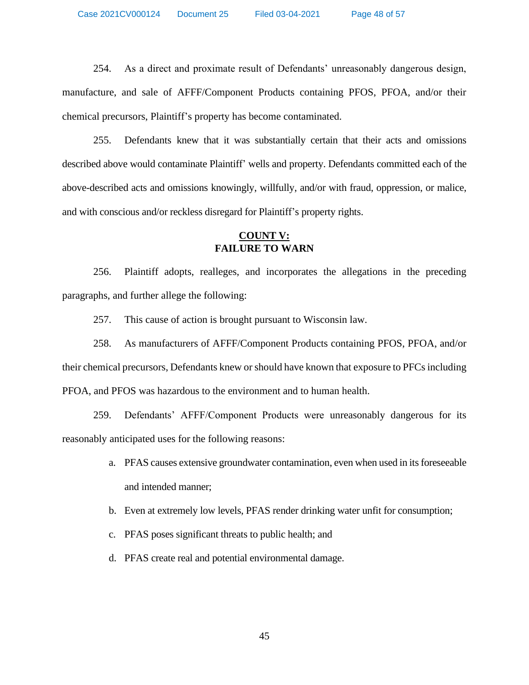254. As a direct and proximate result of Defendants' unreasonably dangerous design, manufacture, and sale of AFFF/Component Products containing PFOS, PFOA, and/or their chemical precursors, Plaintiff's property has become contaminated.

255. Defendants knew that it was substantially certain that their acts and omissions described above would contaminate Plaintiff' wells and property. Defendants committed each of the above-described acts and omissions knowingly, willfully, and/or with fraud, oppression, or malice, and with conscious and/or reckless disregard for Plaintiff's property rights.

# **COUNT V: FAILURE TO WARN**

256. Plaintiff adopts, realleges, and incorporates the allegations in the preceding paragraphs, and further allege the following:

257. This cause of action is brought pursuant to Wisconsin law.

258. As manufacturers of AFFF/Component Products containing PFOS, PFOA, and/or their chemical precursors, Defendants knew or should have known that exposure to PFCs including PFOA, and PFOS was hazardous to the environment and to human health.

259. Defendants' AFFF/Component Products were unreasonably dangerous for its reasonably anticipated uses for the following reasons:

- a. PFAS causes extensive groundwater contamination, even when used in its foreseeable and intended manner;
- b. Even at extremely low levels, PFAS render drinking water unfit for consumption;
- c. PFAS poses significant threats to public health; and
- d. PFAS create real and potential environmental damage.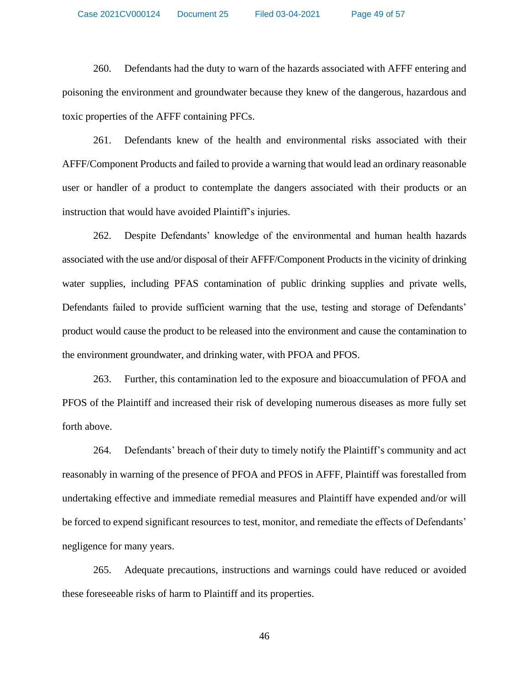Case 2021CV000124 Document 25 Filed 03-04-2021 Page 49 of 57

260. Defendants had the duty to warn of the hazards associated with AFFF entering and poisoning the environment and groundwater because they knew of the dangerous, hazardous and toxic properties of the AFFF containing PFCs.

261. Defendants knew of the health and environmental risks associated with their AFFF/Component Products and failed to provide a warning that would lead an ordinary reasonable user or handler of a product to contemplate the dangers associated with their products or an instruction that would have avoided Plaintiff's injuries.

262. Despite Defendants' knowledge of the environmental and human health hazards associated with the use and/or disposal of their AFFF/Component Products in the vicinity of drinking water supplies, including PFAS contamination of public drinking supplies and private wells, Defendants failed to provide sufficient warning that the use, testing and storage of Defendants' product would cause the product to be released into the environment and cause the contamination to the environment groundwater, and drinking water, with PFOA and PFOS.

263. Further, this contamination led to the exposure and bioaccumulation of PFOA and PFOS of the Plaintiff and increased their risk of developing numerous diseases as more fully set forth above.

264. Defendants' breach of their duty to timely notify the Plaintiff's community and act reasonably in warning of the presence of PFOA and PFOS in AFFF, Plaintiff was forestalled from undertaking effective and immediate remedial measures and Plaintiff have expended and/or will be forced to expend significant resources to test, monitor, and remediate the effects of Defendants' negligence for many years.

265. Adequate precautions, instructions and warnings could have reduced or avoided these foreseeable risks of harm to Plaintiff and its properties.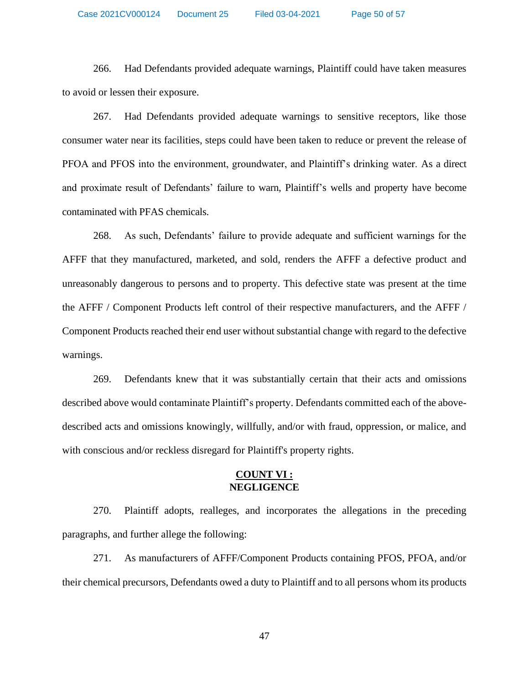Case 2021CV000124 Document 25 Filed 03-04-2021 Page 50 of 57

266. Had Defendants provided adequate warnings, Plaintiff could have taken measures to avoid or lessen their exposure.

267. Had Defendants provided adequate warnings to sensitive receptors, like those consumer water near its facilities, steps could have been taken to reduce or prevent the release of PFOA and PFOS into the environment, groundwater, and Plaintiff's drinking water. As a direct and proximate result of Defendants' failure to warn, Plaintiff's wells and property have become contaminated with PFAS chemicals.

268. As such, Defendants' failure to provide adequate and sufficient warnings for the AFFF that they manufactured, marketed, and sold, renders the AFFF a defective product and unreasonably dangerous to persons and to property. This defective state was present at the time the AFFF / Component Products left control of their respective manufacturers, and the AFFF / Component Products reached their end user without substantial change with regard to the defective warnings.

269. Defendants knew that it was substantially certain that their acts and omissions described above would contaminate Plaintiff's property. Defendants committed each of the abovedescribed acts and omissions knowingly, willfully, and/or with fraud, oppression, or malice, and with conscious and/or reckless disregard for Plaintiff's property rights.

### **COUNT VI : NEGLIGENCE**

270. Plaintiff adopts, realleges, and incorporates the allegations in the preceding paragraphs, and further allege the following:

271. As manufacturers of AFFF/Component Products containing PFOS, PFOA, and/or their chemical precursors, Defendants owed a duty to Plaintiff and to all persons whom its products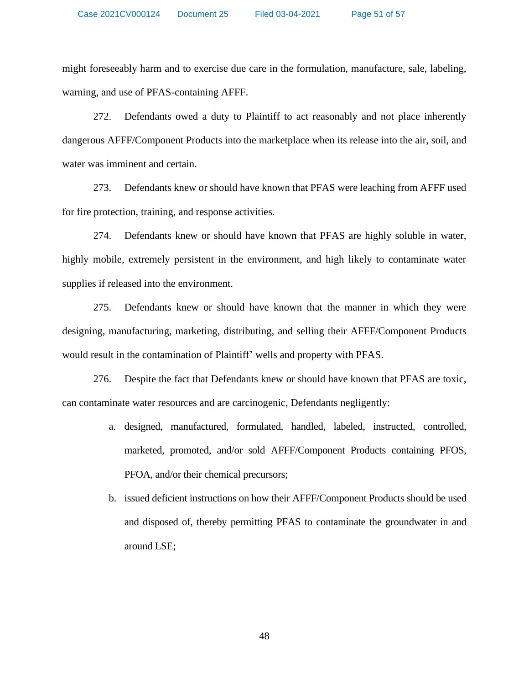might foreseeably harm and to exercise due care in the formulation, manufacture, sale, labeling, warning, and use of PFAS-containing AFFF.

272. Defendants owed a duty to Plaintiff to act reasonably and not place inherently dangerous AFFF/Component Products into the marketplace when its release into the air, soil, and water was imminent and certain.

273. Defendants knew or should have known that PFAS were leaching from AFFF used for fire protection, training, and response activities.

274. Defendants knew or should have known that PFAS are highly soluble in water, highly mobile, extremely persistent in the environment, and high likely to contaminate water supplies if released into the environment.

275. Defendants knew or should have known that the manner in which they were designing, manufacturing, marketing, distributing, and selling their AFFF/Component Products would result in the contamination of Plaintiff' wells and property with PFAS.

276. Despite the fact that Defendants knew or should have known that PFAS are toxic, can contaminate water resources and are carcinogenic, Defendants negligently:

- a. designed, manufactured, formulated, handled, labeled, instructed, controlled, marketed, promoted, and/or sold AFFF/Component Products containing PFOS, PFOA, and/or their chemical precursors;
- b. issued deficient instructions on how their AFFF/Component Products should be used and disposed of, thereby permitting PFAS to contaminate the groundwater in and around LSE;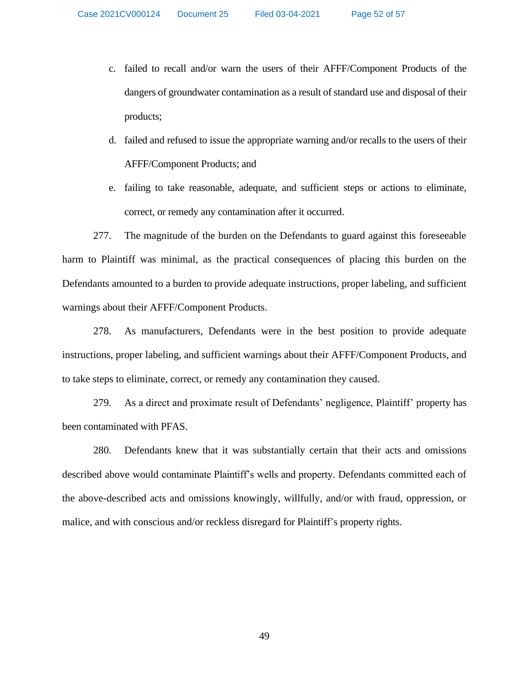- c. failed to recall and/or warn the users of their AFFF/Component Products of the dangers of groundwater contamination as a result of standard use and disposal of their products;
- d. failed and refused to issue the appropriate warning and/or recalls to the users of their AFFF/Component Products; and
- e. failing to take reasonable, adequate, and sufficient steps or actions to eliminate, correct, or remedy any contamination after it occurred.

277. The magnitude of the burden on the Defendants to guard against this foreseeable harm to Plaintiff was minimal, as the practical consequences of placing this burden on the Defendants amounted to a burden to provide adequate instructions, proper labeling, and sufficient warnings about their AFFF/Component Products.

278. As manufacturers, Defendants were in the best position to provide adequate instructions, proper labeling, and sufficient warnings about their AFFF/Component Products, and to take steps to eliminate, correct, or remedy any contamination they caused.

279. As a direct and proximate result of Defendants' negligence, Plaintiff' property has been contaminated with PFAS.

280. Defendants knew that it was substantially certain that their acts and omissions described above would contaminate Plaintiff's wells and property. Defendants committed each of the above-described acts and omissions knowingly, willfully, and/or with fraud, oppression, or malice, and with conscious and/or reckless disregard for Plaintiff's property rights.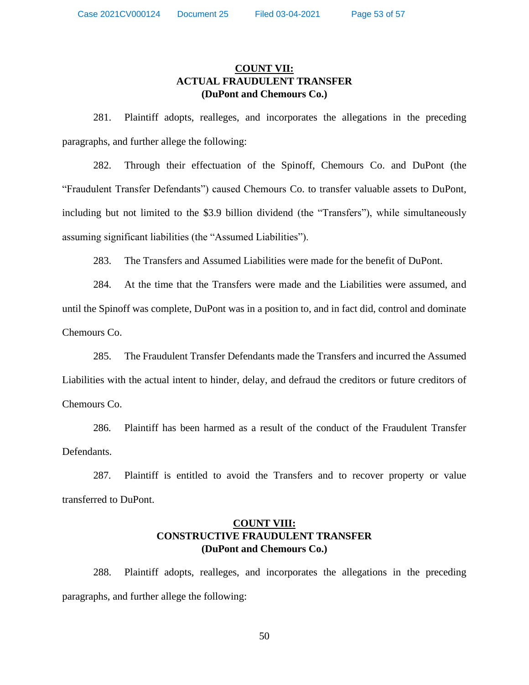# **COUNT VII: ACTUAL FRAUDULENT TRANSFER (DuPont and Chemours Co.)**

281. Plaintiff adopts, realleges, and incorporates the allegations in the preceding paragraphs, and further allege the following:

282. Through their effectuation of the Spinoff, Chemours Co. and DuPont (the "Fraudulent Transfer Defendants") caused Chemours Co. to transfer valuable assets to DuPont, including but not limited to the \$3.9 billion dividend (the "Transfers"), while simultaneously assuming significant liabilities (the "Assumed Liabilities").

283. The Transfers and Assumed Liabilities were made for the benefit of DuPont.

284. At the time that the Transfers were made and the Liabilities were assumed, and until the Spinoff was complete, DuPont was in a position to, and in fact did, control and dominate Chemours Co.

285. The Fraudulent Transfer Defendants made the Transfers and incurred the Assumed Liabilities with the actual intent to hinder, delay, and defraud the creditors or future creditors of Chemours Co.

286. Plaintiff has been harmed as a result of the conduct of the Fraudulent Transfer Defendants.

287. Plaintiff is entitled to avoid the Transfers and to recover property or value transferred to DuPont.

# **COUNT VIII: CONSTRUCTIVE FRAUDULENT TRANSFER (DuPont and Chemours Co.)**

288. Plaintiff adopts, realleges, and incorporates the allegations in the preceding paragraphs, and further allege the following: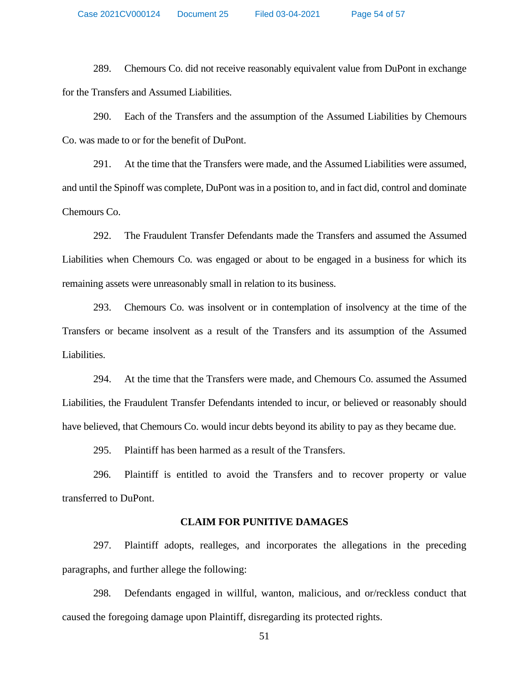289. Chemours Co. did not receive reasonably equivalent value from DuPont in exchange for the Transfers and Assumed Liabilities.

290. Each of the Transfers and the assumption of the Assumed Liabilities by Chemours Co. was made to or for the benefit of DuPont.

291. At the time that the Transfers were made, and the Assumed Liabilities were assumed, and until the Spinoff was complete, DuPont was in a position to, and in fact did, control and dominate Chemours Co.

292. The Fraudulent Transfer Defendants made the Transfers and assumed the Assumed Liabilities when Chemours Co. was engaged or about to be engaged in a business for which its remaining assets were unreasonably small in relation to its business.

293. Chemours Co. was insolvent or in contemplation of insolvency at the time of the Transfers or became insolvent as a result of the Transfers and its assumption of the Assumed Liabilities.

294. At the time that the Transfers were made, and Chemours Co. assumed the Assumed Liabilities, the Fraudulent Transfer Defendants intended to incur, or believed or reasonably should have believed, that Chemours Co. would incur debts beyond its ability to pay as they became due.

295. Plaintiff has been harmed as a result of the Transfers.

296. Plaintiff is entitled to avoid the Transfers and to recover property or value transferred to DuPont.

#### **CLAIM FOR PUNITIVE DAMAGES**

297. Plaintiff adopts, realleges, and incorporates the allegations in the preceding paragraphs, and further allege the following:

298. Defendants engaged in willful, wanton, malicious, and or/reckless conduct that caused the foregoing damage upon Plaintiff, disregarding its protected rights.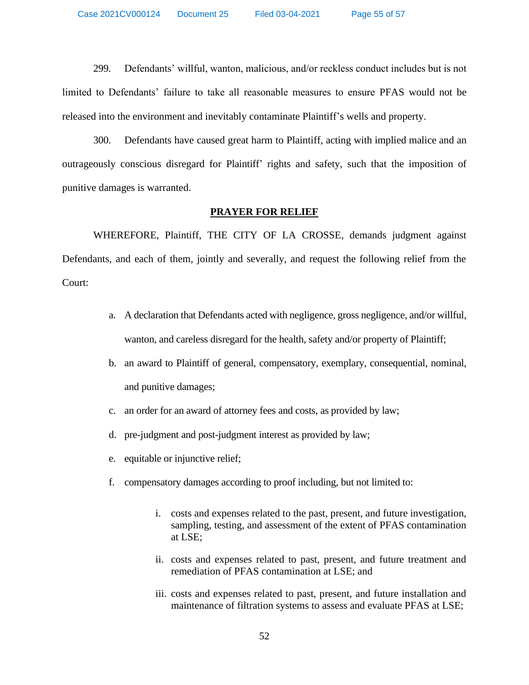299. Defendants' willful, wanton, malicious, and/or reckless conduct includes but is not limited to Defendants' failure to take all reasonable measures to ensure PFAS would not be released into the environment and inevitably contaminate Plaintiff's wells and property.

300. Defendants have caused great harm to Plaintiff, acting with implied malice and an outrageously conscious disregard for Plaintiff' rights and safety, such that the imposition of punitive damages is warranted.

#### **PRAYER FOR RELIEF**

WHEREFORE, Plaintiff, THE CITY OF LA CROSSE, demands judgment against Defendants, and each of them, jointly and severally, and request the following relief from the Court:

- a. A declaration that Defendants acted with negligence, gross negligence, and/or willful, wanton, and careless disregard for the health, safety and/or property of Plaintiff;
- b. an award to Plaintiff of general, compensatory, exemplary, consequential, nominal, and punitive damages;
- c. an order for an award of attorney fees and costs, as provided by law;
- d. pre-judgment and post-judgment interest as provided by law;
- e. equitable or injunctive relief;
- f. compensatory damages according to proof including, but not limited to:
	- i. costs and expenses related to the past, present, and future investigation, sampling, testing, and assessment of the extent of PFAS contamination at LSE;
	- ii. costs and expenses related to past, present, and future treatment and remediation of PFAS contamination at LSE; and
	- iii. costs and expenses related to past, present, and future installation and maintenance of filtration systems to assess and evaluate PFAS at LSE;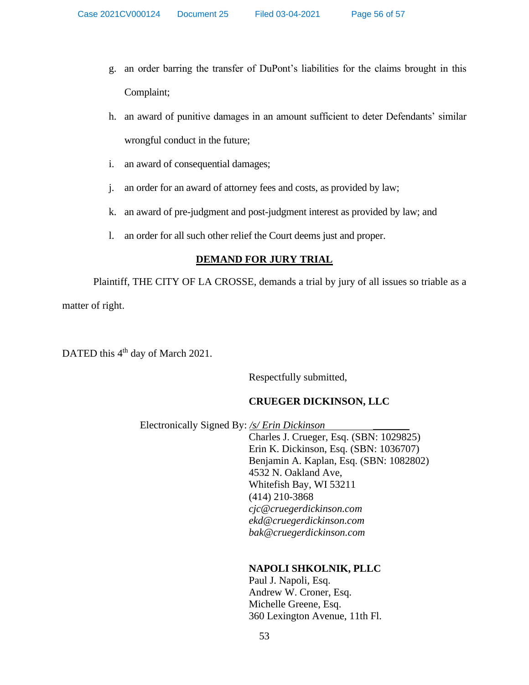- g. an order barring the transfer of DuPont's liabilities for the claims brought in this Complaint;
- h. an award of punitive damages in an amount sufficient to deter Defendants' similar wrongful conduct in the future;
- i. an award of consequential damages;
- j. an order for an award of attorney fees and costs, as provided by law;
- k. an award of pre-judgment and post-judgment interest as provided by law; and
- l. an order for all such other relief the Court deems just and proper.

### **DEMAND FOR JURY TRIAL**

Plaintiff, THE CITY OF LA CROSSE, demands a trial by jury of all issues so triable as a matter of right.

DATED this 4<sup>th</sup> day of March 2021.

Respectfully submitted,

# **CRUEGER DICKINSON, LLC**

Electronically Signed By: */s/ Erin Dickinson* \_\_\_\_\_\_\_

Charles J. Crueger, Esq. (SBN: 1029825) Erin K. Dickinson, Esq. (SBN: 1036707) Benjamin A. Kaplan, Esq. (SBN: 1082802) 4532 N. Oakland Ave, Whitefish Bay, WI 53211 (414) 210-3868 *[cjc@cruegerdickinson.com](mailto:cjc@cruegerdickinson.com) [ekd@cruegerdickinson.com](mailto:ekd@cruegerdickinson.com) [bak@cruegerdickinson.com](mailto:bak@cruegerdickinson.com)*

# **NAPOLI SHKOLNIK, PLLC**

Paul J. Napoli, Esq. Andrew W. Croner, Esq. Michelle Greene, Esq. 360 Lexington Avenue, 11th Fl.